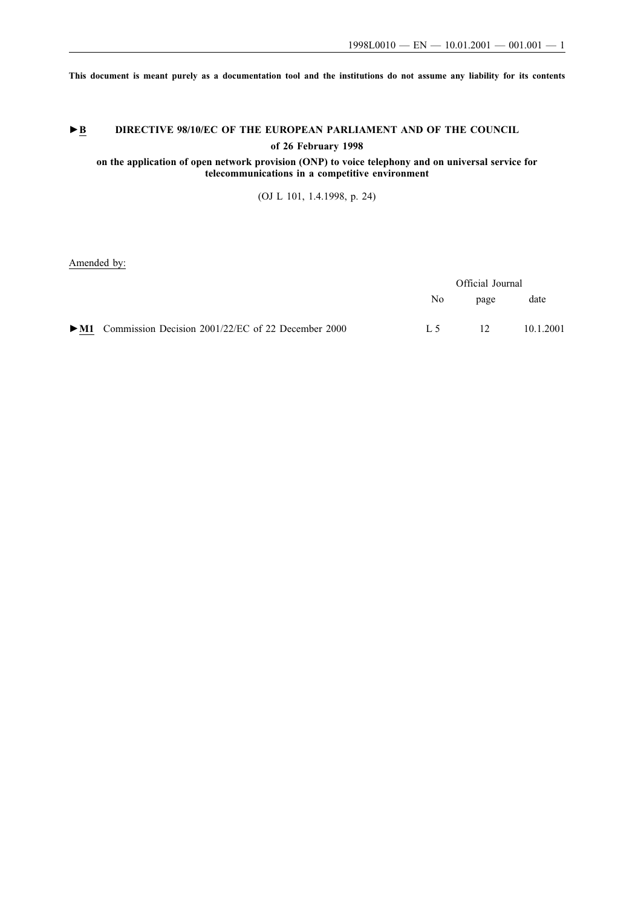**This document is meant purely as a documentation tool and the institutions do not assume any liability for its contents**

# ►**B** DIRECTIVE 98/10/EC OF THE EUROPEAN PARLIAMENT AND OF THE COUNCIL **of 26 February 1998**

## **on the application of open network provision (ONP) to voice telephony and on universal service for telecommunications in a competitive environment**

(OJ L 101, 1.4.1998, p. 24)

Amended by:

|                                                                             | Official Journal |                 |           |  |
|-----------------------------------------------------------------------------|------------------|-----------------|-----------|--|
|                                                                             | No.              | page            | date      |  |
| $\blacktriangleright$ M1 Commission Decision 2001/22/EC of 22 December 2000 | I 5              | 12 <sup>°</sup> | 10.1.2001 |  |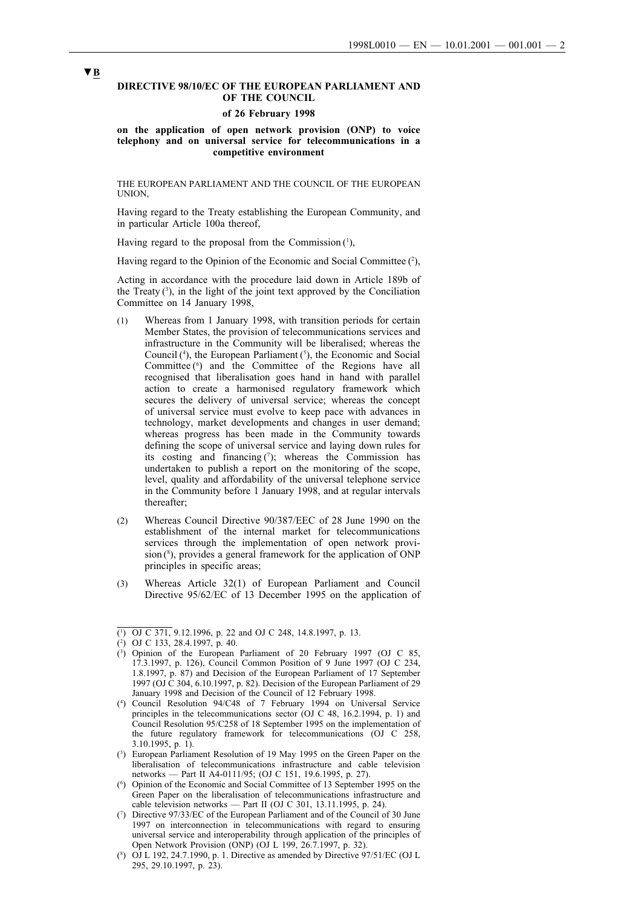#### **DIRECTIVE 98/10/EC OF THE EUROPEAN PARLIAMENT AND OF THE COUNCIL**

#### **of 26 February 1998**

**on the application of open network provision (ONP) to voice telephony and on universal service for telecommunications in a competitive environment**

THE EUROPEAN PARLIAMENT AND THE COUNCIL OF THE EUROPEAN UNION,

Having regard to the Treaty establishing the European Community, and in particular Article 100a thereof,

Having regard to the proposal from the Commission $(1)$ ,

Having regard to the Opinion of the Economic and Social Committee (2),

Acting in accordance with the procedure laid down in Article 189b of the Treaty  $(3)$ , in the light of the joint text approved by the Conciliation Committee on 14 January 1998,

- (1) Whereas from 1 January 1998, with transition periods for certain Member States, the provision of telecommunications services and infrastructure in the Community will be liberalised; whereas the Council  $(1)$ , the European Parliament  $(3)$ , the Economic and Social Committee (<sup>6</sup>) and the Committee of the Regions have all recognised that liberalisation goes hand in hand with parallel action to create a harmonised regulatory framework which secures the delivery of universal service; whereas the concept of universal service must evolve to keep pace with advances in technology, market developments and changes in user demand; whereas progress has been made in the Community towards defining the scope of universal service and laying down rules for its costing and financing  $(7)$ ; whereas the Commission has undertaken to publish a report on the monitoring of the scope, level, quality and affordability of the universal telephone service in the Community before 1 January 1998, and at regular intervals thereafter;
- (2) Whereas Council Directive 90/387/EEC of 28 June 1990 on the establishment of the internal market for telecommunications services through the implementation of open network provision (<sup>8</sup>), provides a general framework for the application of ONP principles in specific areas;
- (3) Whereas Article 32(1) of European Parliament and Council Directive 95/62/EC of 13 December 1995 on the application of

- ( 5 ) European Parliament Resolution of 19 May 1995 on the Green Paper on the liberalisation of telecommunications infrastructure and cable television networks — Part II A4-0111/95; (OJ C 151, 19.6.1995, p. 27).
- ( 6 ) Opinion of the Economic and Social Committee of 13 September 1995 on the Green Paper on the liberalisation of telecommunications infrastructure and cable television networks — Part II (OJ C 301, 13.11.1995, p. 24).
- ( 7 ) Directive 97/33/EC of the European Parliament and of the Council of 30 June 1997 on interconnection in telecommunications with regard to ensuring universal service and interoperability through application of the principles of Open Network Provision (ONP) (OJ L 199, 26.7.1997, p. 32).

<sup>(</sup> 1 ) OJ C 371, 9.12.1996, p. 22 and OJ C 248, 14.8.1997, p. 13.

<sup>(</sup> 2 ) OJ C 133, 28.4.1997, p. 40.

<sup>(</sup> 3 ) Opinion of the European Parliament of 20 February 1997 (OJ C 85, 17.3.1997, p. 126), Council Common Position of 9 June 1997 (OJ C 234, 1.8.1997, p. 87) and Decision of the European Parliament of 17 September 1997 (OJ C 304, 6.10.1997, p. 82). Decision of the European Parliament of 29 January 1998 and Decision of the Council of 12 February 1998.

<sup>(</sup> 4 ) Council Resolution 94/C48 of 7 February 1994 on Universal Service principles in the telecommunications sector (OJ C 48, 16.2.1994, p. 1) and Council Resolution 95/C258 of 18 September 1995 on the implementation of the future regulatory framework for telecommunications (OJ C 258, 3.10.1995, p. 1).

<sup>(</sup> 8 ) OJ L 192, 24.7.1990, p. 1. Directive as amended by Directive 97/51/EC (OJ L 295, 29.10.1997, p. 23).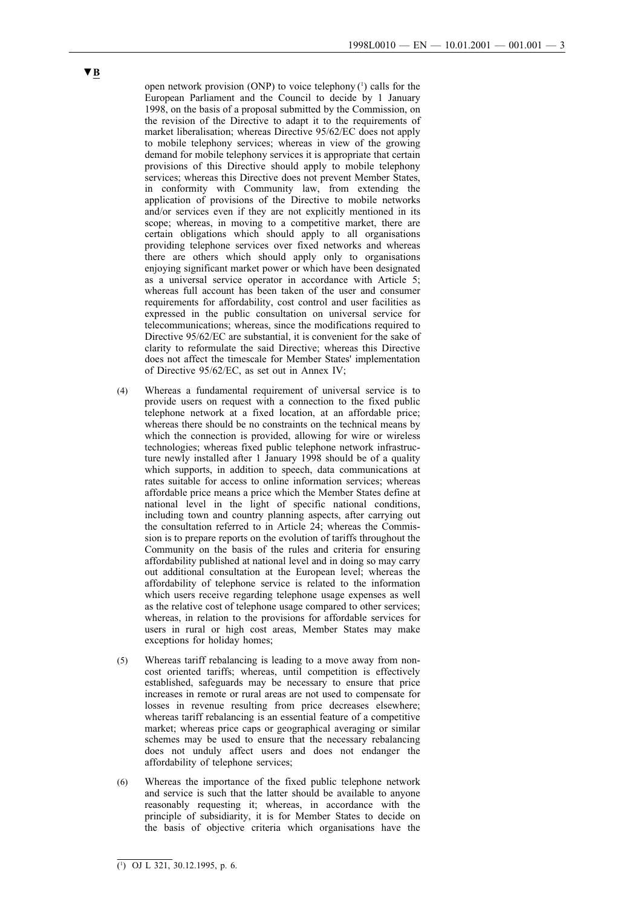open network provision (ONP) to voice telephony  $(1)$  calls for the European Parliament and the Council to decide by 1 January 1998, on the basis of a proposal submitted by the Commission, on the revision of the Directive to adapt it to the requirements of market liberalisation; whereas Directive 95/62/EC does not apply to mobile telephony services; whereas in view of the growing demand for mobile telephony services it is appropriate that certain provisions of this Directive should apply to mobile telephony services; whereas this Directive does not prevent Member States, in conformity with Community law, from extending the application of provisions of the Directive to mobile networks and/or services even if they are not explicitly mentioned in its scope; whereas, in moving to a competitive market, there are certain obligations which should apply to all organisations providing telephone services over fixed networks and whereas there are others which should apply only to organisations enjoying significant market power or which have been designated as a universal service operator in accordance with Article 5; whereas full account has been taken of the user and consumer requirements for affordability, cost control and user facilities as expressed in the public consultation on universal service for telecommunications; whereas, since the modifications required to Directive 95/62/EC are substantial, it is convenient for the sake of clarity to reformulate the said Directive; whereas this Directive does not affect the timescale for Member States' implementation of Directive 95/62/EC, as set out in Annex IV;

- (4) Whereas a fundamental requirement of universal service is to provide users on request with a connection to the fixed public telephone network at a fixed location, at an affordable price; whereas there should be no constraints on the technical means by which the connection is provided, allowing for wire or wireless technologies; whereas fixed public telephone network infrastructure newly installed after 1 January 1998 should be of a quality which supports, in addition to speech, data communications at rates suitable for access to online information services; whereas affordable price means a price which the Member States define at national level in the light of specific national conditions, including town and country planning aspects, after carrying out the consultation referred to in Article 24; whereas the Commission is to prepare reports on the evolution of tariffs throughout the Community on the basis of the rules and criteria for ensuring affordability published at national level and in doing so may carry out additional consultation at the European level; whereas the affordability of telephone service is related to the information which users receive regarding telephone usage expenses as well as the relative cost of telephone usage compared to other services; whereas, in relation to the provisions for affordable services for users in rural or high cost areas, Member States may make exceptions for holiday homes;
- (5) Whereas tariff rebalancing is leading to a move away from noncost oriented tariffs; whereas, until competition is effectively established, safeguards may be necessary to ensure that price increases in remote or rural areas are not used to compensate for losses in revenue resulting from price decreases elsewhere; whereas tariff rebalancing is an essential feature of a competitive market; whereas price caps or geographical averaging or similar schemes may be used to ensure that the necessary rebalancing does not unduly affect users and does not endanger the affordability of telephone services;
- (6) Whereas the importance of the fixed public telephone network and service is such that the latter should be available to anyone reasonably requesting it; whereas, in accordance with the principle of subsidiarity, it is for Member States to decide on the basis of objective criteria which organisations have the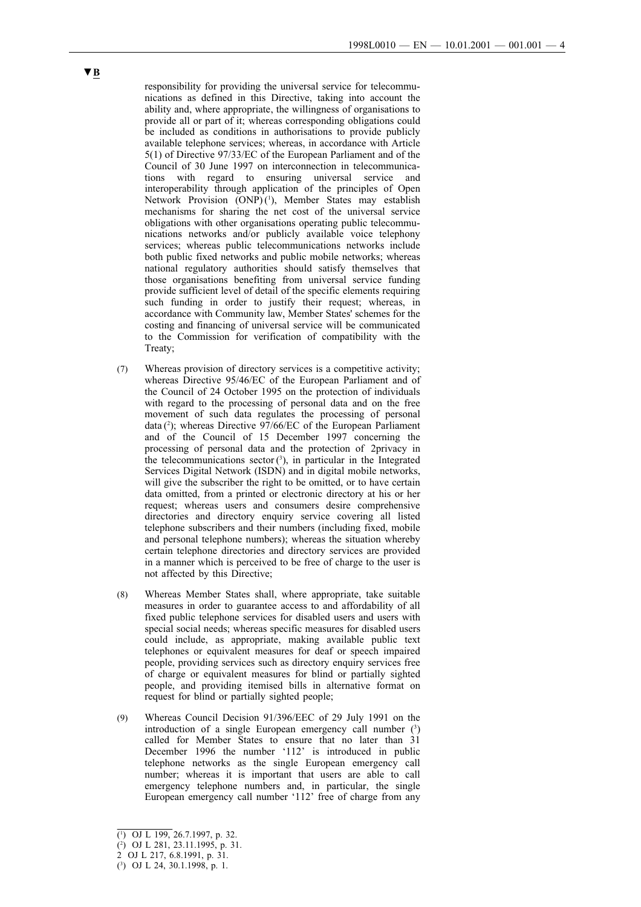responsibility for providing the universal service for telecommunications as defined in this Directive, taking into account the ability and, where appropriate, the willingness of organisations to provide all or part of it; whereas corresponding obligations could be included as conditions in authorisations to provide publicly available telephone services; whereas, in accordance with Article 5(1) of Directive 97/33/EC of the European Parliament and of the Council of 30 June 1997 on interconnection in telecommunications with regard to ensuring universal service and interoperability through application of the principles of Open Network Provision (ONP)<sup>(1</sup>), Member States may establish mechanisms for sharing the net cost of the universal service obligations with other organisations operating public telecommunications networks and/or publicly available voice telephony services; whereas public telecommunications networks include both public fixed networks and public mobile networks; whereas national regulatory authorities should satisfy themselves that those organisations benefiting from universal service funding provide sufficient level of detail of the specific elements requiring such funding in order to justify their request; whereas, in accordance with Community law, Member States' schemes for the costing and financing of universal service will be communicated to the Commission for verification of compatibility with the Treaty;

- (7) Whereas provision of directory services is a competitive activity; whereas Directive 95/46/EC of the European Parliament and of the Council of 24 October 1995 on the protection of individuals with regard to the processing of personal data and on the free movement of such data regulates the processing of personal data (<sup>2</sup>); whereas Directive 97/66/EC of the European Parliament and of the Council of 15 December 1997 concerning the processing of personal data and the protection of 2privacy in the telecommunications sector  $(3)$ , in particular in the Integrated Services Digital Network (ISDN) and in digital mobile networks, will give the subscriber the right to be omitted, or to have certain data omitted, from a printed or electronic directory at his or her request; whereas users and consumers desire comprehensive directories and directory enquiry service covering all listed telephone subscribers and their numbers (including fixed, mobile and personal telephone numbers); whereas the situation whereby certain telephone directories and directory services are provided in a manner which is perceived to be free of charge to the user is not affected by this Directive;
- (8) Whereas Member States shall, where appropriate, take suitable measures in order to guarantee access to and affordability of all fixed public telephone services for disabled users and users with special social needs; whereas specific measures for disabled users could include, as appropriate, making available public text telephones or equivalent measures for deaf or speech impaired people, providing services such as directory enquiry services free of charge or equivalent measures for blind or partially sighted people, and providing itemised bills in alternative format on request for blind or partially sighted people;
- (9) Whereas Council Decision 91/396/EEC of 29 July 1991 on the introduction of a single European emergency call number  $(3)$ called for Member States to ensure that no later than 31 December 1996 the number '112' is introduced in public telephone networks as the single European emergency call number; whereas it is important that users are able to call emergency telephone numbers and, in particular, the single European emergency call number '112' free of charge from any

<sup>(</sup> 1 ) OJ L 199, 26.7.1997, p. 32.

<sup>(</sup> 2 ) OJ L 281, 23.11.1995, p. 31.

<sup>2</sup> OJ L 217, 6.8.1991, p. 31.

<sup>(</sup> 3 ) OJ L 24, 30.1.1998, p. 1.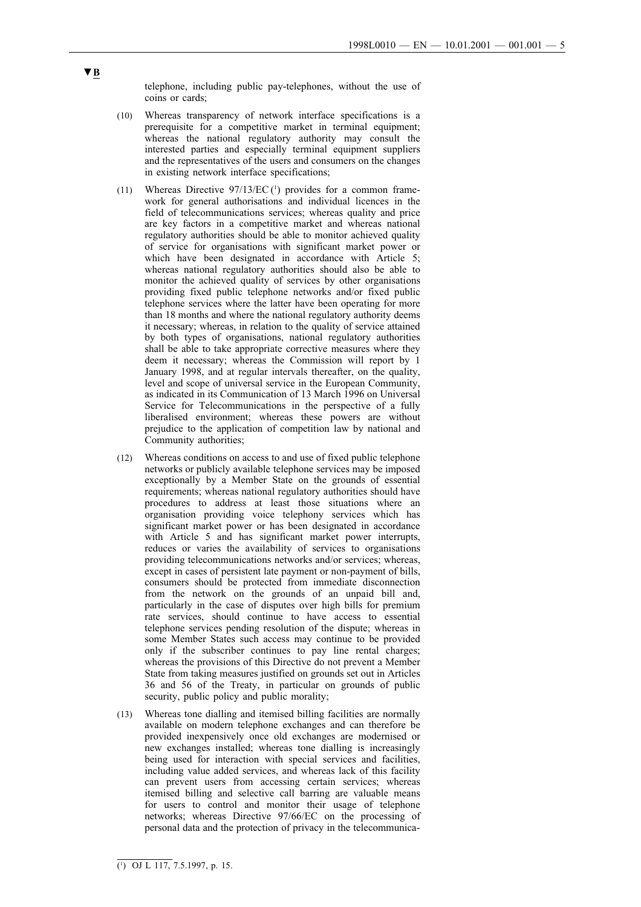telephone, including public pay-telephones, without the use of coins or cards;

- (10) Whereas transparency of network interface specifications is a prerequisite for a competitive market in terminal equipment; whereas the national regulatory authority may consult the interested parties and especially terminal equipment suppliers and the representatives of the users and consumers on the changes in existing network interface specifications;
- $(11)$  Whereas Directive  $97/13/EC$ <sup>(1)</sup> provides for a common framework for general authorisations and individual licences in the field of telecommunications services; whereas quality and price are key factors in a competitive market and whereas national regulatory authorities should be able to monitor achieved quality of service for organisations with significant market power or which have been designated in accordance with Article 5; whereas national regulatory authorities should also be able to monitor the achieved quality of services by other organisations providing fixed public telephone networks and/or fixed public telephone services where the latter have been operating for more than 18 months and where the national regulatory authority deems it necessary; whereas, in relation to the quality of service attained by both types of organisations, national regulatory authorities shall be able to take appropriate corrective measures where they deem it necessary; whereas the Commission will report by 1 January 1998, and at regular intervals thereafter, on the quality, level and scope of universal service in the European Community, as indicated in its Communication of 13 March 1996 on Universal Service for Telecommunications in the perspective of a fully liberalised environment; whereas these powers are without prejudice to the application of competition law by national and Community authorities;
- (12) Whereas conditions on access to and use of fixed public telephone networks or publicly available telephone services may be imposed exceptionally by a Member State on the grounds of essential requirements; whereas national regulatory authorities should have procedures to address at least those situations where an organisation providing voice telephony services which has significant market power or has been designated in accordance with Article 5 and has significant market power interrupts, reduces or varies the availability of services to organisations providing telecommunications networks and/or services; whereas, except in cases of persistent late payment or non-payment of bills, consumers should be protected from immediate disconnection from the network on the grounds of an unpaid bill and, particularly in the case of disputes over high bills for premium rate services, should continue to have access to essential telephone services pending resolution of the dispute; whereas in some Member States such access may continue to be provided only if the subscriber continues to pay line rental charges; whereas the provisions of this Directive do not prevent a Member State from taking measures justified on grounds set out in Articles 36 and 56 of the Treaty, in particular on grounds of public security, public policy and public morality;
- (13) Whereas tone dialling and itemised billing facilities are normally available on modern telephone exchanges and can therefore be provided inexpensively once old exchanges are modernised or new exchanges installed; whereas tone dialling is increasingly being used for interaction with special services and facilities, including value added services, and whereas lack of this facility can prevent users from accessing certain services; whereas itemised billing and selective call barring are valuable means for users to control and monitor their usage of telephone networks; whereas Directive 97/66/EC on the processing of personal data and the protection of privacy in the telecommunica-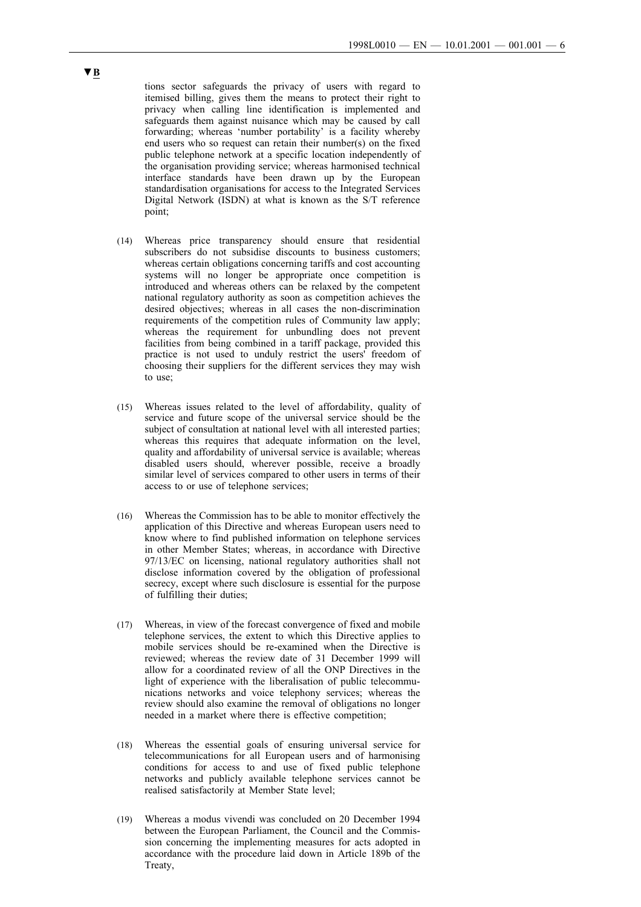tions sector safeguards the privacy of users with regard to itemised billing, gives them the means to protect their right to privacy when calling line identification is implemented and safeguards them against nuisance which may be caused by call forwarding; whereas 'number portability' is a facility whereby end users who so request can retain their number(s) on the fixed public telephone network at a specific location independently of the organisation providing service; whereas harmonised technical interface standards have been drawn up by the European standardisation organisations for access to the Integrated Services Digital Network (ISDN) at what is known as the S/T reference point;

- (14) Whereas price transparency should ensure that residential subscribers do not subsidise discounts to business customers; whereas certain obligations concerning tariffs and cost accounting systems will no longer be appropriate once competition is introduced and whereas others can be relaxed by the competent national regulatory authority as soon as competition achieves the desired objectives; whereas in all cases the non-discrimination requirements of the competition rules of Community law apply; whereas the requirement for unbundling does not prevent facilities from being combined in a tariff package, provided this practice is not used to unduly restrict the users' freedom of choosing their suppliers for the different services they may wish to use;
- (15) Whereas issues related to the level of affordability, quality of service and future scope of the universal service should be the subject of consultation at national level with all interested parties; whereas this requires that adequate information on the level, quality and affordability of universal service is available; whereas disabled users should, wherever possible, receive a broadly similar level of services compared to other users in terms of their access to or use of telephone services;
- (16) Whereas the Commission has to be able to monitor effectively the application of this Directive and whereas European users need to know where to find published information on telephone services in other Member States; whereas, in accordance with Directive 97/13/EC on licensing, national regulatory authorities shall not disclose information covered by the obligation of professional secrecy, except where such disclosure is essential for the purpose of fulfilling their duties;
- (17) Whereas, in view of the forecast convergence of fixed and mobile telephone services, the extent to which this Directive applies to mobile services should be re-examined when the Directive is reviewed; whereas the review date of 31 December 1999 will allow for a coordinated review of all the ONP Directives in the light of experience with the liberalisation of public telecommunications networks and voice telephony services; whereas the review should also examine the removal of obligations no longer needed in a market where there is effective competition;
- (18) Whereas the essential goals of ensuring universal service for telecommunications for all European users and of harmonising conditions for access to and use of fixed public telephone networks and publicly available telephone services cannot be realised satisfactorily at Member State level;
- (19) Whereas a modus vivendi was concluded on 20 December 1994 between the European Parliament, the Council and the Commission concerning the implementing measures for acts adopted in accordance with the procedure laid down in Article 189b of the Treaty,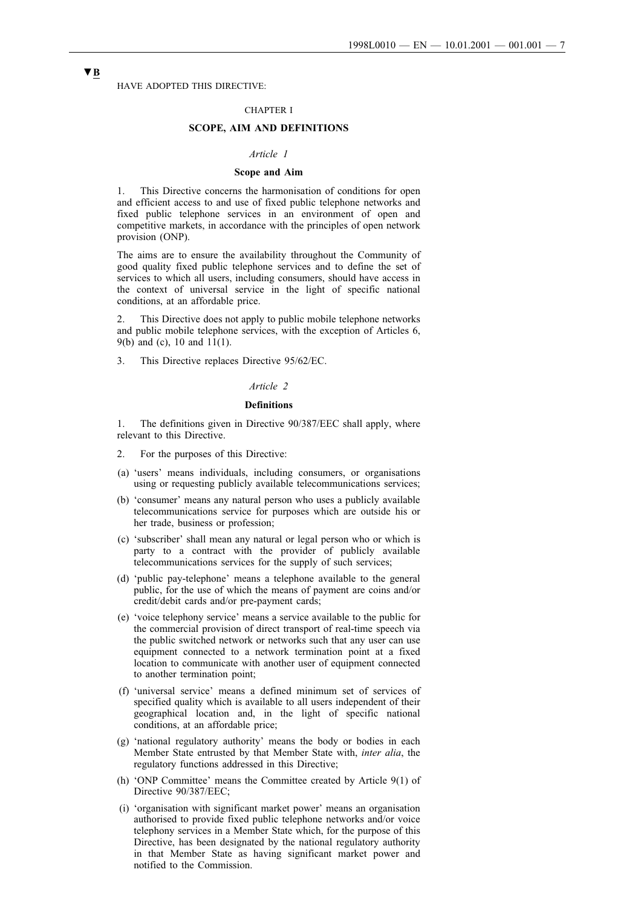HAVE ADOPTED THIS DIRECTIVE:

#### CHAPTER I

## **SCOPE, AIM AND DEFINITIONS**

## *Article 1*

## **Scope and Aim**

1. This Directive concerns the harmonisation of conditions for open and efficient access to and use of fixed public telephone networks and fixed public telephone services in an environment of open and competitive markets, in accordance with the principles of open network provision (ONP).

The aims are to ensure the availability throughout the Community of good quality fixed public telephone services and to define the set of services to which all users, including consumers, should have access in the context of universal service in the light of specific national conditions, at an affordable price.

2. This Directive does not apply to public mobile telephone networks and public mobile telephone services, with the exception of Articles 6, 9(b) and (c), 10 and 11(1).

3. This Directive replaces Directive 95/62/EC.

#### *Article 2*

## **Definitions**

1. The definitions given in Directive 90/387/EEC shall apply, where relevant to this Directive.

- 2. For the purposes of this Directive:
- (a) 'users' means individuals, including consumers, or organisations using or requesting publicly available telecommunications services;
- (b) 'consumer' means any natural person who uses a publicly available telecommunications service for purposes which are outside his or her trade, business or profession;
- (c) 'subscriber' shall mean any natural or legal person who or which is party to a contract with the provider of publicly available telecommunications services for the supply of such services;
- (d) 'public pay-telephone' means a telephone available to the general public, for the use of which the means of payment are coins and/or credit/debit cards and/or pre-payment cards;
- (e) 'voice telephony service' means a service available to the public for the commercial provision of direct transport of real-time speech via the public switched network or networks such that any user can use equipment connected to a network termination point at a fixed location to communicate with another user of equipment connected to another termination point;
- (f) 'universal service' means a defined minimum set of services of specified quality which is available to all users independent of their geographical location and, in the light of specific national conditions, at an affordable price;
- (g) 'national regulatory authority' means the body or bodies in each Member State entrusted by that Member State with, *inter alia*, the regulatory functions addressed in this Directive;
- (h) 'ONP Committee' means the Committee created by Article 9(1) of Directive 90/387/EEC;
- (i) 'organisation with significant market power' means an organisation authorised to provide fixed public telephone networks and/or voice telephony services in a Member State which, for the purpose of this Directive, has been designated by the national regulatory authority in that Member State as having significant market power and notified to the Commission.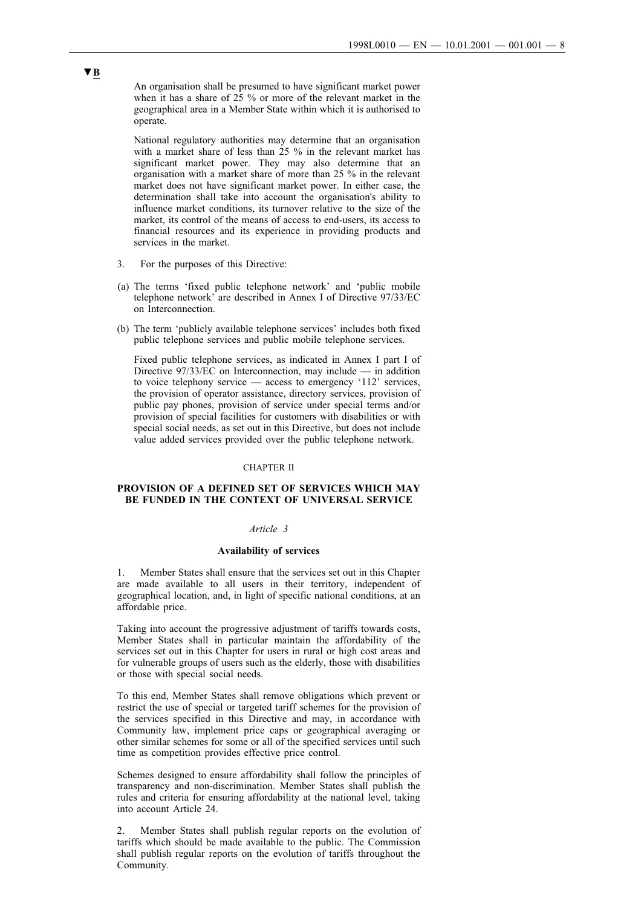An organisation shall be presumed to have significant market power when it has a share of 25 % or more of the relevant market in the geographical area in a Member State within which it is authorised to operate.

National regulatory authorities may determine that an organisation with a market share of less than 25 % in the relevant market has significant market power. They may also determine that an organisation with a market share of more than 25 % in the relevant market does not have significant market power. In either case, the determination shall take into account the organisation's ability to influence market conditions, its turnover relative to the size of the market, its control of the means of access to end-users, its access to financial resources and its experience in providing products and services in the market.

- 3. For the purposes of this Directive:
- (a) The terms 'fixed public telephone network' and 'public mobile telephone network' are described in Annex I of Directive 97/33/EC on Interconnection.
- (b) The term 'publicly available telephone services' includes both fixed public telephone services and public mobile telephone services.

Fixed public telephone services, as indicated in Annex I part I of Directive 97/33/EC on Interconnection, may include — in addition to voice telephony service — access to emergency '112' services, the provision of operator assistance, directory services, provision of public pay phones, provision of service under special terms and/or provision of special facilities for customers with disabilities or with special social needs, as set out in this Directive, but does not include value added services provided over the public telephone network.

#### CHAPTER II

## **PROVISION OF A DEFINED SET OF SERVICES WHICH MAY BE FUNDED IN THE CONTEXT OF UNIVERSAL SERVICE**

#### *Article 3*

#### **Availability of services**

1. Member States shall ensure that the services set out in this Chapter are made available to all users in their territory, independent of geographical location, and, in light of specific national conditions, at an affordable price.

Taking into account the progressive adjustment of tariffs towards costs, Member States shall in particular maintain the affordability of the services set out in this Chapter for users in rural or high cost areas and for vulnerable groups of users such as the elderly, those with disabilities or those with special social needs.

To this end, Member States shall remove obligations which prevent or restrict the use of special or targeted tariff schemes for the provision of the services specified in this Directive and may, in accordance with Community law, implement price caps or geographical averaging or other similar schemes for some or all of the specified services until such time as competition provides effective price control.

Schemes designed to ensure affordability shall follow the principles of transparency and non-discrimination. Member States shall publish the rules and criteria for ensuring affordability at the national level, taking into account Article 24.

2. Member States shall publish regular reports on the evolution of tariffs which should be made available to the public. The Commission shall publish regular reports on the evolution of tariffs throughout the Community.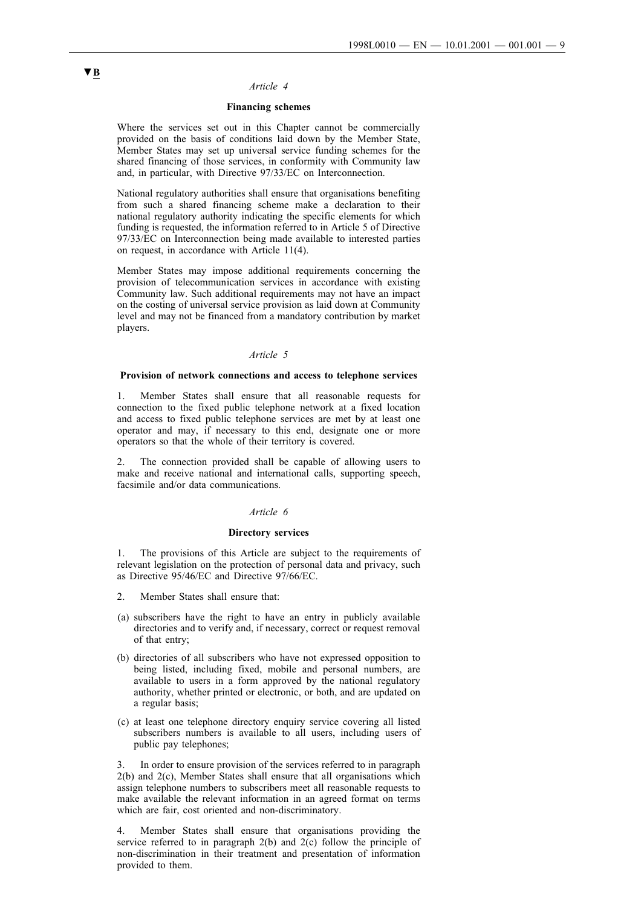#### *Article 4*

## **Financing schemes**

Where the services set out in this Chapter cannot be commercially provided on the basis of conditions laid down by the Member State, Member States may set up universal service funding schemes for the shared financing of those services, in conformity with Community law and, in particular, with Directive 97/33/EC on Interconnection.

National regulatory authorities shall ensure that organisations benefiting from such a shared financing scheme make a declaration to their national regulatory authority indicating the specific elements for which funding is requested, the information referred to in Article 5 of Directive 97/33/EC on Interconnection being made available to interested parties on request, in accordance with Article 11(4).

Member States may impose additional requirements concerning the provision of telecommunication services in accordance with existing Community law. Such additional requirements may not have an impact on the costing of universal service provision as laid down at Community level and may not be financed from a mandatory contribution by market players.

## *Article 5*

#### **Provision of network connections and access to telephone services**

1. Member States shall ensure that all reasonable requests for connection to the fixed public telephone network at a fixed location and access to fixed public telephone services are met by at least one operator and may, if necessary to this end, designate one or more operators so that the whole of their territory is covered.

2. The connection provided shall be capable of allowing users to make and receive national and international calls, supporting speech, facsimile and/or data communications.

#### *Article 6*

#### **Directory services**

1. The provisions of this Article are subject to the requirements of relevant legislation on the protection of personal data and privacy, such as Directive 95/46/EC and Directive 97/66/EC.

- 2. Member States shall ensure that:
- (a) subscribers have the right to have an entry in publicly available directories and to verify and, if necessary, correct or request removal of that entry;
- (b) directories of all subscribers who have not expressed opposition to being listed, including fixed, mobile and personal numbers, are available to users in a form approved by the national regulatory authority, whether printed or electronic, or both, and are updated on a regular basis;
- (c) at least one telephone directory enquiry service covering all listed subscribers numbers is available to all users, including users of public pay telephones;

In order to ensure provision of the services referred to in paragraph 2(b) and 2(c), Member States shall ensure that all organisations which assign telephone numbers to subscribers meet all reasonable requests to make available the relevant information in an agreed format on terms which are fair, cost oriented and non-discriminatory.

4. Member States shall ensure that organisations providing the service referred to in paragraph 2(b) and 2(c) follow the principle of non-discrimination in their treatment and presentation of information provided to them.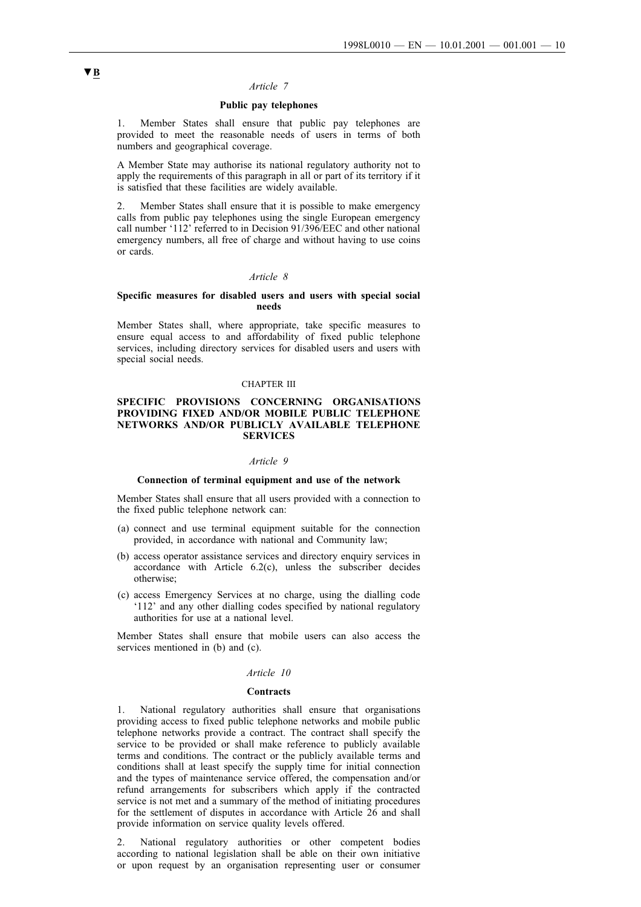#### *Article 7*

#### **Public pay telephones**

Member States shall ensure that public pay telephones are provided to meet the reasonable needs of users in terms of both numbers and geographical coverage.

A Member State may authorise its national regulatory authority not to apply the requirements of this paragraph in all or part of its territory if it is satisfied that these facilities are widely available.

2. Member States shall ensure that it is possible to make emergency calls from public pay telephones using the single European emergency call number '112' referred to in Decision 91/396/EEC and other national emergency numbers, all free of charge and without having to use coins or cards.

## *Article 8*

#### **Specific measures for disabled users and users with special social needs**

Member States shall, where appropriate, take specific measures to ensure equal access to and affordability of fixed public telephone services, including directory services for disabled users and users with special social needs.

## CHAPTER III

## **SPECIFIC PROVISIONS CONCERNING ORGANISATIONS PROVIDING FIXED AND/OR MOBILE PUBLIC TELEPHONE NETWORKS AND/OR PUBLICLY AVAILABLE TELEPHONE SERVICES**

#### *Article 9*

### **Connection of terminal equipment and use of the network**

Member States shall ensure that all users provided with a connection to the fixed public telephone network can:

- (a) connect and use terminal equipment suitable for the connection provided, in accordance with national and Community law;
- (b) access operator assistance services and directory enquiry services in accordance with Article 6.2(c), unless the subscriber decides otherwise;
- (c) access Emergency Services at no charge, using the dialling code '112' and any other dialling codes specified by national regulatory authorities for use at a national level.

Member States shall ensure that mobile users can also access the services mentioned in (b) and (c).

#### *Article 10*

#### **Contracts**

1. National regulatory authorities shall ensure that organisations providing access to fixed public telephone networks and mobile public telephone networks provide a contract. The contract shall specify the service to be provided or shall make reference to publicly available terms and conditions. The contract or the publicly available terms and conditions shall at least specify the supply time for initial connection and the types of maintenance service offered, the compensation and/or refund arrangements for subscribers which apply if the contracted service is not met and a summary of the method of initiating procedures for the settlement of disputes in accordance with Article 26 and shall provide information on service quality levels offered.

2. National regulatory authorities or other competent bodies according to national legislation shall be able on their own initiative or upon request by an organisation representing user or consumer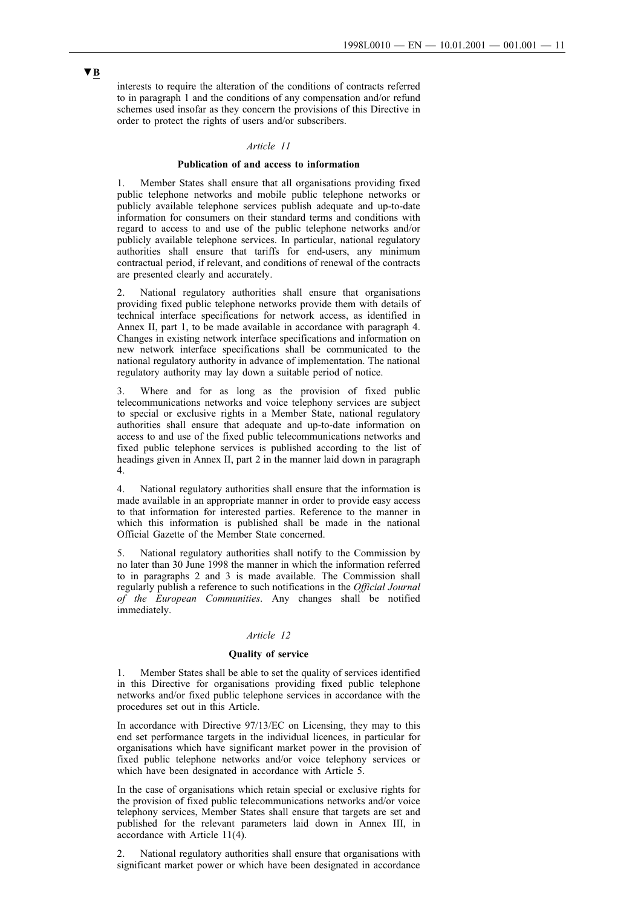interests to require the alteration of the conditions of contracts referred to in paragraph 1 and the conditions of any compensation and/or refund schemes used insofar as they concern the provisions of this Directive in order to protect the rights of users and/or subscribers.

### *Article 11*

#### **Publication of and access to information**

1. Member States shall ensure that all organisations providing fixed public telephone networks and mobile public telephone networks or publicly available telephone services publish adequate and up-to-date information for consumers on their standard terms and conditions with regard to access to and use of the public telephone networks and/or publicly available telephone services. In particular, national regulatory authorities shall ensure that tariffs for end-users, any minimum contractual period, if relevant, and conditions of renewal of the contracts are presented clearly and accurately.

National regulatory authorities shall ensure that organisations providing fixed public telephone networks provide them with details of technical interface specifications for network access, as identified in Annex II, part 1, to be made available in accordance with paragraph 4. Changes in existing network interface specifications and information on new network interface specifications shall be communicated to the national regulatory authority in advance of implementation. The national regulatory authority may lay down a suitable period of notice.

3. Where and for as long as the provision of fixed public telecommunications networks and voice telephony services are subject to special or exclusive rights in a Member State, national regulatory authorities shall ensure that adequate and up-to-date information on access to and use of the fixed public telecommunications networks and fixed public telephone services is published according to the list of headings given in Annex II, part 2 in the manner laid down in paragraph 4.

4. National regulatory authorities shall ensure that the information is made available in an appropriate manner in order to provide easy access to that information for interested parties. Reference to the manner in which this information is published shall be made in the national Official Gazette of the Member State concerned.

5. National regulatory authorities shall notify to the Commission by no later than 30 June 1998 the manner in which the information referred to in paragraphs 2 and 3 is made available. The Commission shall regularly publish a reference to such notifications in the *Official Journal of the European Communities*. Any changes shall be notified immediately.

## *Article 12*

## **Quality of service**

1. Member States shall be able to set the quality of services identified in this Directive for organisations providing fixed public telephone networks and/or fixed public telephone services in accordance with the procedures set out in this Article.

In accordance with Directive 97/13/EC on Licensing, they may to this end set performance targets in the individual licences, in particular for organisations which have significant market power in the provision of fixed public telephone networks and/or voice telephony services or which have been designated in accordance with Article 5.

In the case of organisations which retain special or exclusive rights for the provision of fixed public telecommunications networks and/or voice telephony services, Member States shall ensure that targets are set and published for the relevant parameters laid down in Annex III, in accordance with Article 11(4).

2. National regulatory authorities shall ensure that organisations with significant market power or which have been designated in accordance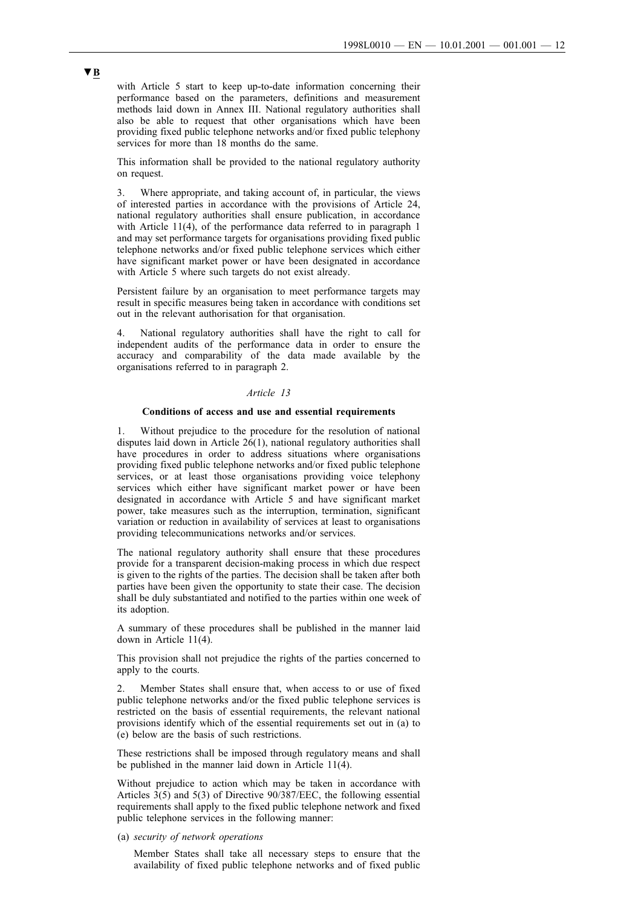with Article 5 start to keep up-to-date information concerning their performance based on the parameters, definitions and measurement methods laid down in Annex III. National regulatory authorities shall also be able to request that other organisations which have been providing fixed public telephone networks and/or fixed public telephony services for more than 18 months do the same.

This information shall be provided to the national regulatory authority on request.

3. Where appropriate, and taking account of, in particular, the views of interested parties in accordance with the provisions of Article 24, national regulatory authorities shall ensure publication, in accordance with Article 11(4), of the performance data referred to in paragraph 1 and may set performance targets for organisations providing fixed public telephone networks and/or fixed public telephone services which either have significant market power or have been designated in accordance with Article 5 where such targets do not exist already.

Persistent failure by an organisation to meet performance targets may result in specific measures being taken in accordance with conditions set out in the relevant authorisation for that organisation.

4. National regulatory authorities shall have the right to call for independent audits of the performance data in order to ensure the accuracy and comparability of the data made available by the organisations referred to in paragraph 2.

## *Article 13*

### **Conditions of access and use and essential requirements**

1. Without prejudice to the procedure for the resolution of national disputes laid down in Article  $26(1)$ , national regulatory authorities shall have procedures in order to address situations where organisations providing fixed public telephone networks and/or fixed public telephone services, or at least those organisations providing voice telephony services which either have significant market power or have been designated in accordance with Article 5 and have significant market power, take measures such as the interruption, termination, significant variation or reduction in availability of services at least to organisations providing telecommunications networks and/or services.

The national regulatory authority shall ensure that these procedures provide for a transparent decision-making process in which due respect is given to the rights of the parties. The decision shall be taken after both parties have been given the opportunity to state their case. The decision shall be duly substantiated and notified to the parties within one week of its adoption.

A summary of these procedures shall be published in the manner laid down in Article 11(4).

This provision shall not prejudice the rights of the parties concerned to apply to the courts.

2. Member States shall ensure that, when access to or use of fixed public telephone networks and/or the fixed public telephone services is restricted on the basis of essential requirements, the relevant national provisions identify which of the essential requirements set out in (a) to (e) below are the basis of such restrictions.

These restrictions shall be imposed through regulatory means and shall be published in the manner laid down in Article 11(4).

Without prejudice to action which may be taken in accordance with Articles  $3(5)$  and  $5(3)$  of Directive 90/387/EEC, the following essential requirements shall apply to the fixed public telephone network and fixed public telephone services in the following manner:

#### (a) *security of network operations*

Member States shall take all necessary steps to ensure that the availability of fixed public telephone networks and of fixed public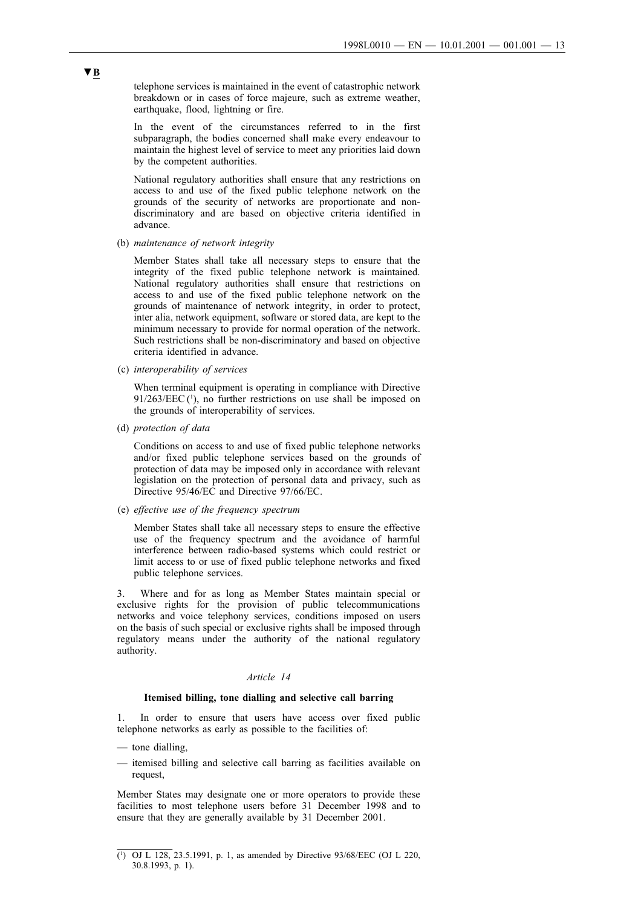telephone services is maintained in the event of catastrophic network breakdown or in cases of force majeure, such as extreme weather, earthquake, flood, lightning or fire.

In the event of the circumstances referred to in the first subparagraph, the bodies concerned shall make every endeavour to maintain the highest level of service to meet any priorities laid down by the competent authorities.

National regulatory authorities shall ensure that any restrictions on access to and use of the fixed public telephone network on the grounds of the security of networks are proportionate and nondiscriminatory and are based on objective criteria identified in advance.

(b) *maintenance of network integrity*

Member States shall take all necessary steps to ensure that the integrity of the fixed public telephone network is maintained. National regulatory authorities shall ensure that restrictions on access to and use of the fixed public telephone network on the grounds of maintenance of network integrity, in order to protect, inter alia, network equipment, software or stored data, are kept to the minimum necessary to provide for normal operation of the network. Such restrictions shall be non-discriminatory and based on objective criteria identified in advance.

(c) *interoperability of services*

When terminal equipment is operating in compliance with Directive  $91/263/EEC$ <sup>(1)</sup>, no further restrictions on use shall be imposed on the grounds of interoperability of services.

(d) *protection of data*

Conditions on access to and use of fixed public telephone networks and/or fixed public telephone services based on the grounds of protection of data may be imposed only in accordance with relevant legislation on the protection of personal data and privacy, such as Directive 95/46/EC and Directive 97/66/EC.

(e) *effective use of the frequency spectrum*

Member States shall take all necessary steps to ensure the effective use of the frequency spectrum and the avoidance of harmful interference between radio-based systems which could restrict or limit access to or use of fixed public telephone networks and fixed public telephone services.

3. Where and for as long as Member States maintain special or exclusive rights for the provision of public telecommunications networks and voice telephony services, conditions imposed on users on the basis of such special or exclusive rights shall be imposed through regulatory means under the authority of the national regulatory authority.

## *Article 14*

#### **Itemised billing, tone dialling and selective call barring**

1. In order to ensure that users have access over fixed public telephone networks as early as possible to the facilities of:

- tone dialling,
- itemised billing and selective call barring as facilities available on request,

Member States may designate one or more operators to provide these facilities to most telephone users before 31 December 1998 and to ensure that they are generally available by 31 December 2001.

<sup>(</sup> 1 ) OJ L 128, 23.5.1991, p. 1, as amended by Directive 93/68/EEC (OJ L 220, 30.8.1993, p. 1).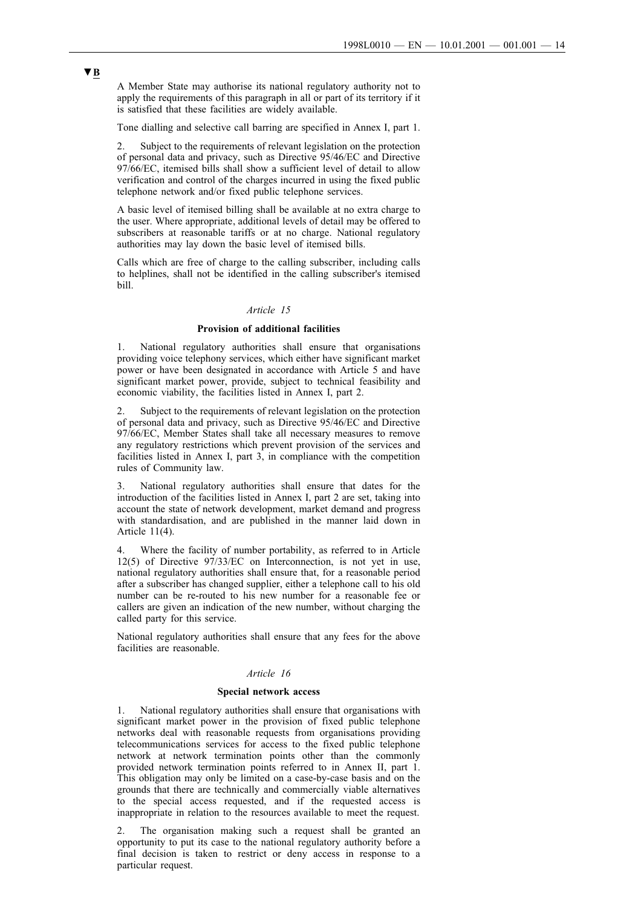A Member State may authorise its national regulatory authority not to apply the requirements of this paragraph in all or part of its territory if it is satisfied that these facilities are widely available.

Tone dialling and selective call barring are specified in Annex I, part 1.

2. Subject to the requirements of relevant legislation on the protection of personal data and privacy, such as Directive 95/46/EC and Directive 97/66/EC, itemised bills shall show a sufficient level of detail to allow verification and control of the charges incurred in using the fixed public telephone network and/or fixed public telephone services.

A basic level of itemised billing shall be available at no extra charge to the user. Where appropriate, additional levels of detail may be offered to subscribers at reasonable tariffs or at no charge. National regulatory authorities may lay down the basic level of itemised bills.

Calls which are free of charge to the calling subscriber, including calls to helplines, shall not be identified in the calling subscriber's itemised bill.

#### *Article 15*

#### **Provision of additional facilities**

1. National regulatory authorities shall ensure that organisations providing voice telephony services, which either have significant market power or have been designated in accordance with Article 5 and have significant market power, provide, subject to technical feasibility and economic viability, the facilities listed in Annex I, part 2.

2. Subject to the requirements of relevant legislation on the protection of personal data and privacy, such as Directive 95/46/EC and Directive 97/66/EC, Member States shall take all necessary measures to remove any regulatory restrictions which prevent provision of the services and facilities listed in Annex I, part 3, in compliance with the competition rules of Community law.

3. National regulatory authorities shall ensure that dates for the introduction of the facilities listed in Annex I, part 2 are set, taking into account the state of network development, market demand and progress with standardisation, and are published in the manner laid down in Article 11(4).

4. Where the facility of number portability, as referred to in Article 12(5) of Directive 97/33/EC on Interconnection, is not yet in use, national regulatory authorities shall ensure that, for a reasonable period after a subscriber has changed supplier, either a telephone call to his old number can be re-routed to his new number for a reasonable fee or callers are given an indication of the new number, without charging the called party for this service.

National regulatory authorities shall ensure that any fees for the above facilities are reasonable.

#### *Article 16*

## **Special network access**

1. National regulatory authorities shall ensure that organisations with significant market power in the provision of fixed public telephone networks deal with reasonable requests from organisations providing telecommunications services for access to the fixed public telephone network at network termination points other than the commonly provided network termination points referred to in Annex II, part 1. This obligation may only be limited on a case-by-case basis and on the grounds that there are technically and commercially viable alternatives to the special access requested, and if the requested access is inappropriate in relation to the resources available to meet the request.

2. The organisation making such a request shall be granted an opportunity to put its case to the national regulatory authority before a final decision is taken to restrict or deny access in response to a particular request.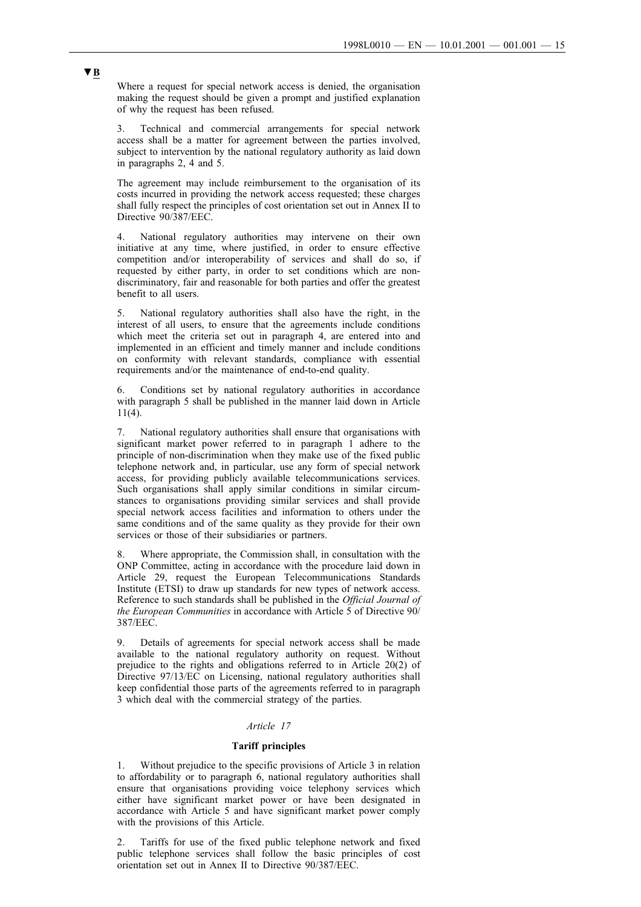Where a request for special network access is denied, the organisation making the request should be given a prompt and justified explanation of why the request has been refused.

3. Technical and commercial arrangements for special network access shall be a matter for agreement between the parties involved, subject to intervention by the national regulatory authority as laid down in paragraphs 2, 4 and 5.

The agreement may include reimbursement to the organisation of its costs incurred in providing the network access requested; these charges shall fully respect the principles of cost orientation set out in Annex II to Directive 90/387/EEC.

4. National regulatory authorities may intervene on their own initiative at any time, where justified, in order to ensure effective competition and/or interoperability of services and shall do so, if requested by either party, in order to set conditions which are nondiscriminatory, fair and reasonable for both parties and offer the greatest benefit to all users.

5. National regulatory authorities shall also have the right, in the interest of all users, to ensure that the agreements include conditions which meet the criteria set out in paragraph 4, are entered into and implemented in an efficient and timely manner and include conditions on conformity with relevant standards, compliance with essential requirements and/or the maintenance of end-to-end quality.

6. Conditions set by national regulatory authorities in accordance with paragraph 5 shall be published in the manner laid down in Article 11(4).

7. National regulatory authorities shall ensure that organisations with significant market power referred to in paragraph 1 adhere to the principle of non-discrimination when they make use of the fixed public telephone network and, in particular, use any form of special network access, for providing publicly available telecommunications services. Such organisations shall apply similar conditions in similar circumstances to organisations providing similar services and shall provide special network access facilities and information to others under the same conditions and of the same quality as they provide for their own services or those of their subsidiaries or partners.

Where appropriate, the Commission shall, in consultation with the ONP Committee, acting in accordance with the procedure laid down in Article 29, request the European Telecommunications Standards Institute (ETSI) to draw up standards for new types of network access. Reference to such standards shall be published in the *Official Journal of the European Communities* in accordance with Article 5 of Directive 90/ 387/EEC.

9. Details of agreements for special network access shall be made available to the national regulatory authority on request. Without prejudice to the rights and obligations referred to in Article 20(2) of Directive 97/13/EC on Licensing, national regulatory authorities shall keep confidential those parts of the agreements referred to in paragraph 3 which deal with the commercial strategy of the parties.

## *Article 17*

### **Tariff principles**

1. Without prejudice to the specific provisions of Article 3 in relation to affordability or to paragraph 6, national regulatory authorities shall ensure that organisations providing voice telephony services which either have significant market power or have been designated in accordance with Article 5 and have significant market power comply with the provisions of this Article.

2. Tariffs for use of the fixed public telephone network and fixed public telephone services shall follow the basic principles of cost orientation set out in Annex II to Directive 90/387/EEC.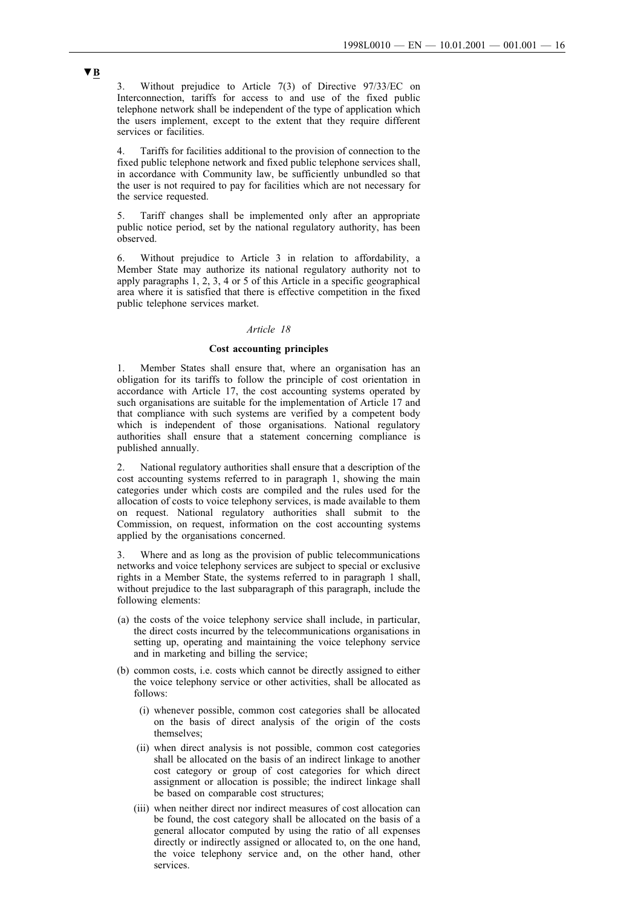3. Without prejudice to Article 7(3) of Directive 97/33/EC on Interconnection, tariffs for access to and use of the fixed public telephone network shall be independent of the type of application which the users implement, except to the extent that they require different services or facilities.

4. Tariffs for facilities additional to the provision of connection to the fixed public telephone network and fixed public telephone services shall, in accordance with Community law, be sufficiently unbundled so that the user is not required to pay for facilities which are not necessary for the service requested.

5. Tariff changes shall be implemented only after an appropriate public notice period, set by the national regulatory authority, has been observed.

6. Without prejudice to Article 3 in relation to affordability, a Member State may authorize its national regulatory authority not to apply paragraphs 1, 2, 3, 4 or 5 of this Article in a specific geographical area where it is satisfied that there is effective competition in the fixed public telephone services market.

#### *Article 18*

## **Cost accounting principles**

Member States shall ensure that, where an organisation has an obligation for its tariffs to follow the principle of cost orientation in accordance with Article 17, the cost accounting systems operated by such organisations are suitable for the implementation of Article 17 and that compliance with such systems are verified by a competent body which is independent of those organisations. National regulatory authorities shall ensure that a statement concerning compliance is published annually.

2. National regulatory authorities shall ensure that a description of the cost accounting systems referred to in paragraph 1, showing the main categories under which costs are compiled and the rules used for the allocation of costs to voice telephony services, is made available to them on request. National regulatory authorities shall submit to the Commission, on request, information on the cost accounting systems applied by the organisations concerned.

3. Where and as long as the provision of public telecommunications networks and voice telephony services are subject to special or exclusive rights in a Member State, the systems referred to in paragraph 1 shall, without prejudice to the last subparagraph of this paragraph, include the following elements:

- (a) the costs of the voice telephony service shall include, in particular, the direct costs incurred by the telecommunications organisations in setting up, operating and maintaining the voice telephony service and in marketing and billing the service;
- (b) common costs, i.e. costs which cannot be directly assigned to either the voice telephony service or other activities, shall be allocated as follows:
	- (i) whenever possible, common cost categories shall be allocated on the basis of direct analysis of the origin of the costs themselves;
	- (ii) when direct analysis is not possible, common cost categories shall be allocated on the basis of an indirect linkage to another cost category or group of cost categories for which direct assignment or allocation is possible; the indirect linkage shall be based on comparable cost structures;
	- (iii) when neither direct nor indirect measures of cost allocation can be found, the cost category shall be allocated on the basis of a general allocator computed by using the ratio of all expenses directly or indirectly assigned or allocated to, on the one hand, the voice telephony service and, on the other hand, other services.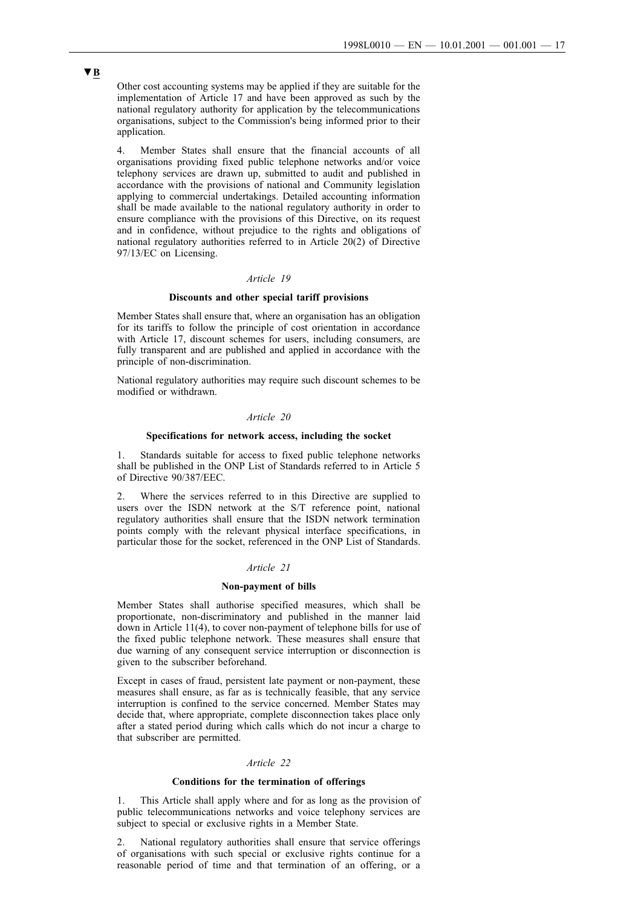Other cost accounting systems may be applied if they are suitable for the implementation of Article 17 and have been approved as such by the national regulatory authority for application by the telecommunications organisations, subject to the Commission's being informed prior to their application.

4. Member States shall ensure that the financial accounts of all organisations providing fixed public telephone networks and/or voice telephony services are drawn up, submitted to audit and published in accordance with the provisions of national and Community legislation applying to commercial undertakings. Detailed accounting information shall be made available to the national regulatory authority in order to ensure compliance with the provisions of this Directive, on its request and in confidence, without prejudice to the rights and obligations of national regulatory authorities referred to in Article 20(2) of Directive 97/13/EC on Licensing.

## *Article 19*

### **Discounts and other special tariff provisions**

Member States shall ensure that, where an organisation has an obligation for its tariffs to follow the principle of cost orientation in accordance with Article 17, discount schemes for users, including consumers, are fully transparent and are published and applied in accordance with the principle of non-discrimination.

National regulatory authorities may require such discount schemes to be modified or withdrawn.

## *Article 20*

## **Specifications for network access, including the socket**

1. Standards suitable for access to fixed public telephone networks shall be published in the ONP List of Standards referred to in Article 5 of Directive 90/387/EEC.

2. Where the services referred to in this Directive are supplied to users over the ISDN network at the S/T reference point, national regulatory authorities shall ensure that the ISDN network termination points comply with the relevant physical interface specifications, in particular those for the socket, referenced in the ONP List of Standards.

## *Article 21*

#### **Non-payment of bills**

Member States shall authorise specified measures, which shall be proportionate, non-discriminatory and published in the manner laid down in Article 11(4), to cover non-payment of telephone bills for use of the fixed public telephone network. These measures shall ensure that due warning of any consequent service interruption or disconnection is given to the subscriber beforehand.

Except in cases of fraud, persistent late payment or non-payment, these measures shall ensure, as far as is technically feasible, that any service interruption is confined to the service concerned. Member States may decide that, where appropriate, complete disconnection takes place only after a stated period during which calls which do not incur a charge to that subscriber are permitted.

#### *Article 22*

#### **Conditions for the termination of offerings**

1. This Article shall apply where and for as long as the provision of public telecommunications networks and voice telephony services are subject to special or exclusive rights in a Member State.

2. National regulatory authorities shall ensure that service offerings of organisations with such special or exclusive rights continue for a reasonable period of time and that termination of an offering, or a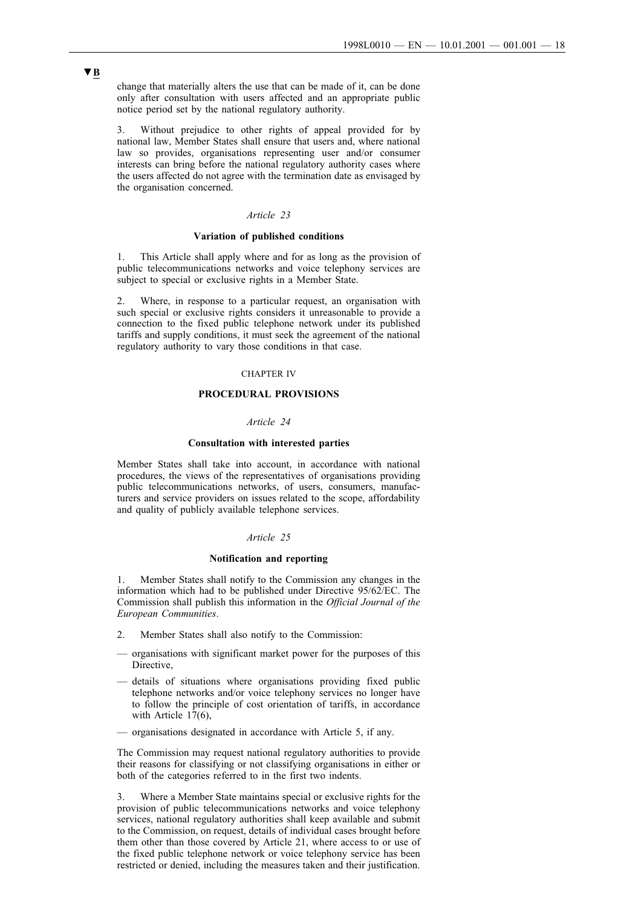change that materially alters the use that can be made of it, can be done only after consultation with users affected and an appropriate public notice period set by the national regulatory authority.

3. Without prejudice to other rights of appeal provided for by national law, Member States shall ensure that users and, where national law so provides, organisations representing user and/or consumer interests can bring before the national regulatory authority cases where the users affected do not agree with the termination date as envisaged by the organisation concerned.

### *Article 23*

#### **Variation of published conditions**

1. This Article shall apply where and for as long as the provision of public telecommunications networks and voice telephony services are subject to special or exclusive rights in a Member State.

2. Where, in response to a particular request, an organisation with such special or exclusive rights considers it unreasonable to provide a connection to the fixed public telephone network under its published tariffs and supply conditions, it must seek the agreement of the national regulatory authority to vary those conditions in that case.

## CHAPTER IV

## **PROCEDURAL PROVISIONS**

#### *Article 24*

#### **Consultation with interested parties**

Member States shall take into account, in accordance with national procedures, the views of the representatives of organisations providing public telecommunications networks, of users, consumers, manufacturers and service providers on issues related to the scope, affordability and quality of publicly available telephone services.

## *Article 25*

#### **Notification and reporting**

1. Member States shall notify to the Commission any changes in the information which had to be published under Directive 95/62/EC. The Commission shall publish this information in the *Official Journal of the European Communities*.

- 2. Member States shall also notify to the Commission:
- organisations with significant market power for the purposes of this Directive,
- details of situations where organisations providing fixed public telephone networks and/or voice telephony services no longer have to follow the principle of cost orientation of tariffs, in accordance with Article 17(6),
- organisations designated in accordance with Article 5, if any.

The Commission may request national regulatory authorities to provide their reasons for classifying or not classifying organisations in either or both of the categories referred to in the first two indents.

3. Where a Member State maintains special or exclusive rights for the provision of public telecommunications networks and voice telephony services, national regulatory authorities shall keep available and submit to the Commission, on request, details of individual cases brought before them other than those covered by Article 21, where access to or use of the fixed public telephone network or voice telephony service has been restricted or denied, including the measures taken and their justification.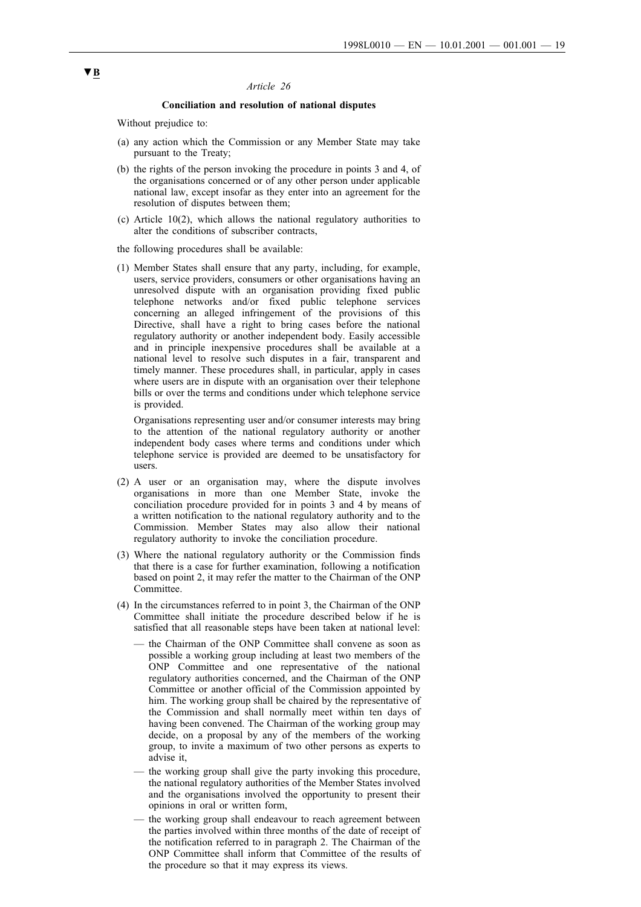#### *Article 26*

#### **Conciliation and resolution of national disputes**

Without prejudice to:

- (a) any action which the Commission or any Member State may take pursuant to the Treaty;
- (b) the rights of the person invoking the procedure in points 3 and 4, of the organisations concerned or of any other person under applicable national law, except insofar as they enter into an agreement for the resolution of disputes between them;
- (c) Article 10(2), which allows the national regulatory authorities to alter the conditions of subscriber contracts,

the following procedures shall be available:

(1) Member States shall ensure that any party, including, for example, users, service providers, consumers or other organisations having an unresolved dispute with an organisation providing fixed public telephone networks and/or fixed public telephone services concerning an alleged infringement of the provisions of this Directive, shall have a right to bring cases before the national regulatory authority or another independent body. Easily accessible and in principle inexpensive procedures shall be available at a national level to resolve such disputes in a fair, transparent and timely manner. These procedures shall, in particular, apply in cases where users are in dispute with an organisation over their telephone bills or over the terms and conditions under which telephone service is provided.

Organisations representing user and/or consumer interests may bring to the attention of the national regulatory authority or another independent body cases where terms and conditions under which telephone service is provided are deemed to be unsatisfactory for users.

- (2) A user or an organisation may, where the dispute involves organisations in more than one Member State, invoke the conciliation procedure provided for in points 3 and 4 by means of a written notification to the national regulatory authority and to the Commission. Member States may also allow their national regulatory authority to invoke the conciliation procedure.
- (3) Where the national regulatory authority or the Commission finds that there is a case for further examination, following a notification based on point 2, it may refer the matter to the Chairman of the ONP Committee.
- (4) In the circumstances referred to in point 3, the Chairman of the ONP Committee shall initiate the procedure described below if he is satisfied that all reasonable steps have been taken at national level:
	- the Chairman of the ONP Committee shall convene as soon as possible a working group including at least two members of the ONP Committee and one representative of the national regulatory authorities concerned, and the Chairman of the ONP Committee or another official of the Commission appointed by him. The working group shall be chaired by the representative of the Commission and shall normally meet within ten days of having been convened. The Chairman of the working group may decide, on a proposal by any of the members of the working group, to invite a maximum of two other persons as experts to advise it,
	- the working group shall give the party invoking this procedure, the national regulatory authorities of the Member States involved and the organisations involved the opportunity to present their opinions in oral or written form,
	- the working group shall endeavour to reach agreement between the parties involved within three months of the date of receipt of the notification referred to in paragraph 2. The Chairman of the ONP Committee shall inform that Committee of the results of the procedure so that it may express its views.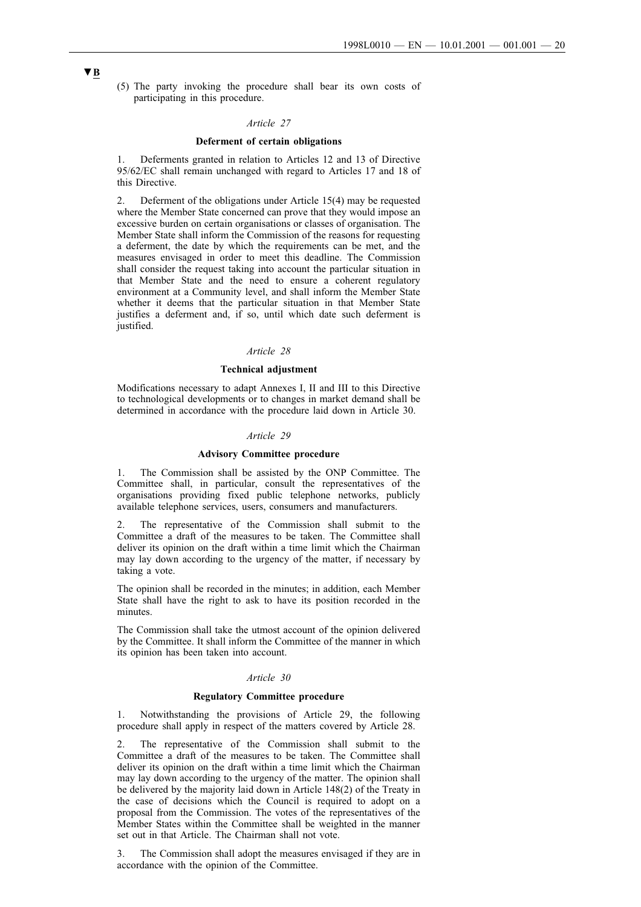(5) The party invoking the procedure shall bear its own costs of participating in this procedure.

#### *Article 27*

#### **Deferment of certain obligations**

1. Deferments granted in relation to Articles 12 and 13 of Directive 95/62/EC shall remain unchanged with regard to Articles 17 and 18 of this Directive.

2. Deferment of the obligations under Article 15(4) may be requested where the Member State concerned can prove that they would impose an excessive burden on certain organisations or classes of organisation. The Member State shall inform the Commission of the reasons for requesting a deferment, the date by which the requirements can be met, and the measures envisaged in order to meet this deadline. The Commission shall consider the request taking into account the particular situation in that Member State and the need to ensure a coherent regulatory environment at a Community level, and shall inform the Member State whether it deems that the particular situation in that Member State justifies a deferment and, if so, until which date such deferment is justified.

#### *Article 28*

## **Technical adjustment**

Modifications necessary to adapt Annexes I, II and III to this Directive to technological developments or to changes in market demand shall be determined in accordance with the procedure laid down in Article 30.

#### *Article 29*

#### **Advisory Committee procedure**

1. The Commission shall be assisted by the ONP Committee. The Committee shall, in particular, consult the representatives of the organisations providing fixed public telephone networks, publicly available telephone services, users, consumers and manufacturers.

2. The representative of the Commission shall submit to the Committee a draft of the measures to be taken. The Committee shall deliver its opinion on the draft within a time limit which the Chairman may lay down according to the urgency of the matter, if necessary by taking a vote.

The opinion shall be recorded in the minutes; in addition, each Member State shall have the right to ask to have its position recorded in the minutes.

The Commission shall take the utmost account of the opinion delivered by the Committee. It shall inform the Committee of the manner in which its opinion has been taken into account.

### *Article 30*

#### **Regulatory Committee procedure**

1. Notwithstanding the provisions of Article 29, the following procedure shall apply in respect of the matters covered by Article 28.

2. The representative of the Commission shall submit to the Committee a draft of the measures to be taken. The Committee shall deliver its opinion on the draft within a time limit which the Chairman may lay down according to the urgency of the matter. The opinion shall be delivered by the majority laid down in Article 148(2) of the Treaty in the case of decisions which the Council is required to adopt on a proposal from the Commission. The votes of the representatives of the Member States within the Committee shall be weighted in the manner set out in that Article. The Chairman shall not vote.

3. The Commission shall adopt the measures envisaged if they are in accordance with the opinion of the Committee.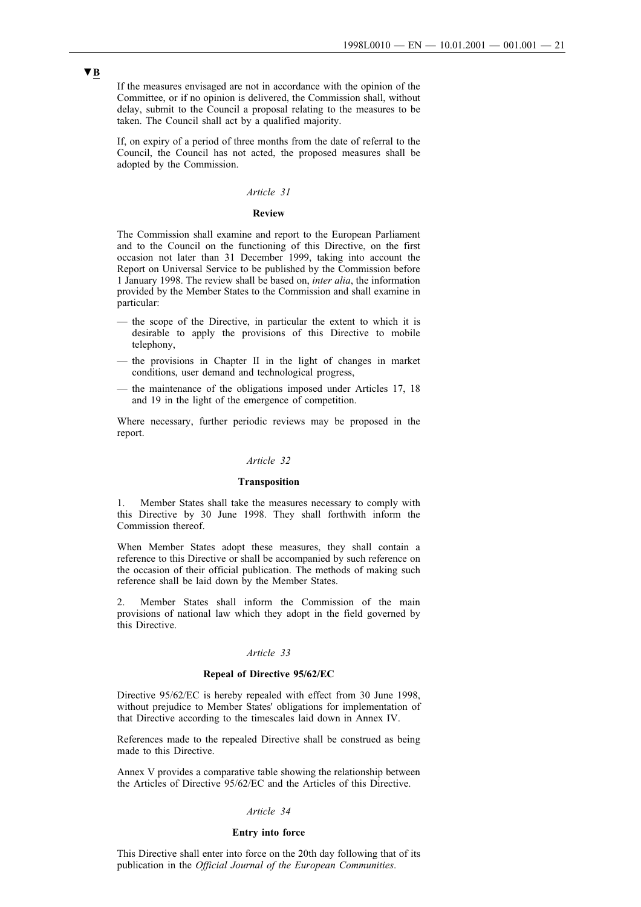If the measures envisaged are not in accordance with the opinion of the Committee, or if no opinion is delivered, the Commission shall, without delay, submit to the Council a proposal relating to the measures to be taken. The Council shall act by a qualified majority.

If, on expiry of a period of three months from the date of referral to the Council, the Council has not acted, the proposed measures shall be adopted by the Commission.

## *Article 31*

#### **Review**

The Commission shall examine and report to the European Parliament and to the Council on the functioning of this Directive, on the first occasion not later than 31 December 1999, taking into account the Report on Universal Service to be published by the Commission before 1 January 1998. The review shall be based on, *inter alia*, the information provided by the Member States to the Commission and shall examine in particular:

- the scope of the Directive, in particular the extent to which it is desirable to apply the provisions of this Directive to mobile telephony,
- the provisions in Chapter II in the light of changes in market conditions, user demand and technological progress,
- the maintenance of the obligations imposed under Articles 17, 18 and 19 in the light of the emergence of competition.

Where necessary, further periodic reviews may be proposed in the report.

## *Article 32*

#### **Transposition**

1. Member States shall take the measures necessary to comply with this Directive by 30 June 1998. They shall forthwith inform the Commission thereof.

When Member States adopt these measures, they shall contain a reference to this Directive or shall be accompanied by such reference on the occasion of their official publication. The methods of making such reference shall be laid down by the Member States.

2. Member States shall inform the Commission of the main provisions of national law which they adopt in the field governed by this Directive.

## *Article 33*

## **Repeal of Directive 95/62/EC**

Directive 95/62/EC is hereby repealed with effect from 30 June 1998, without prejudice to Member States' obligations for implementation of that Directive according to the timescales laid down in Annex IV.

References made to the repealed Directive shall be construed as being made to this Directive.

Annex V provides a comparative table showing the relationship between the Articles of Directive 95/62/EC and the Articles of this Directive.

## *Article 34*

#### **Entry into force**

This Directive shall enter into force on the 20th day following that of its publication in the *Official Journal of the European Communities*.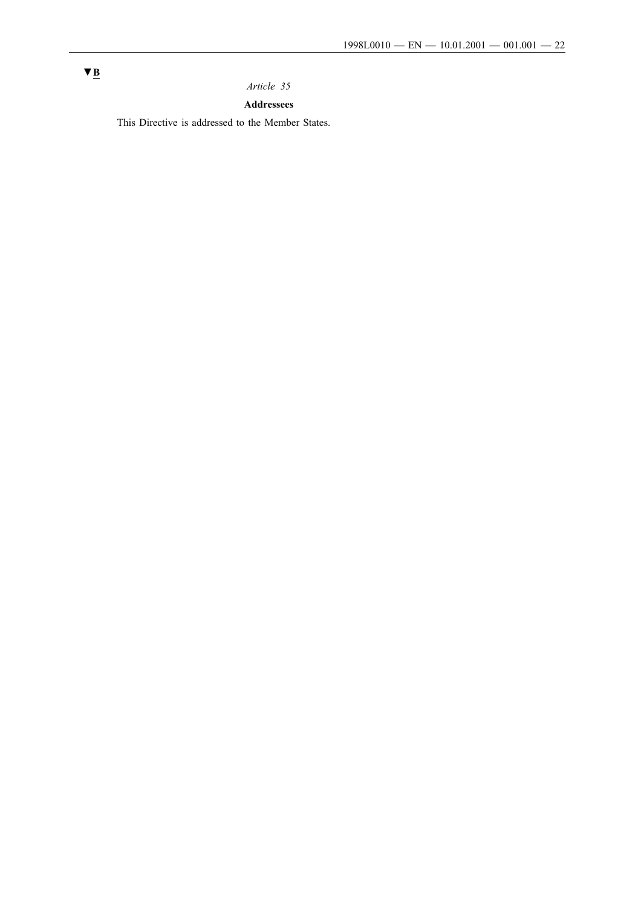# *Article 35*

# **Addressees**

This Directive is addressed to the Member States.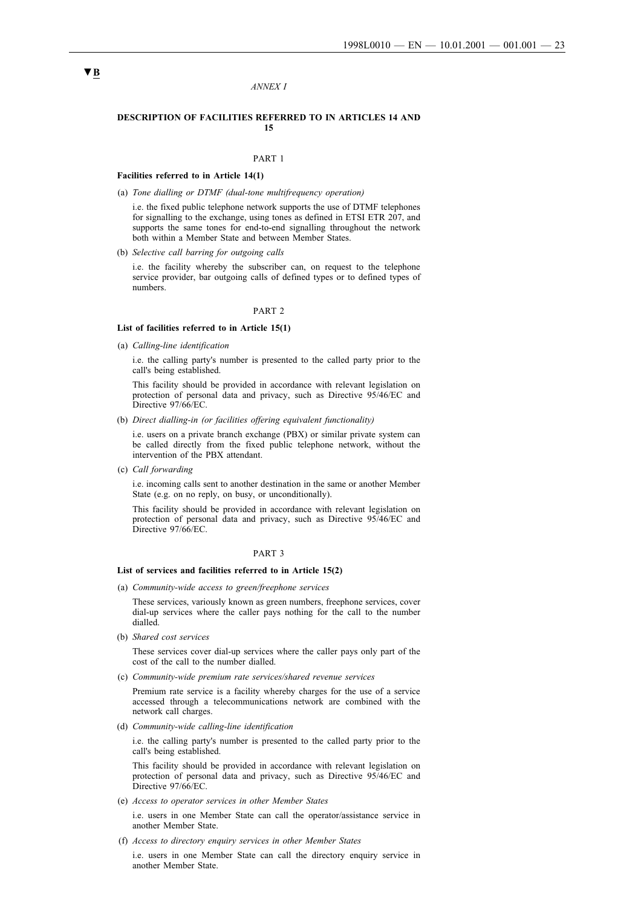#### *ANNEX I*

#### **DESCRIPTION OF FACILITIES REFERRED TO IN ARTICLES 14 AND 15**

## PART 1

#### **Facilities referred to in Article 14(1)**

(a) *Tone dialling or DTMF (dual-tone multifrequency operation)*

i.e. the fixed public telephone network supports the use of DTMF telephones for signalling to the exchange, using tones as defined in ETSI ETR 207, and supports the same tones for end-to-end signalling throughout the network both within a Member State and between Member States.

(b) *Selective call barring for outgoing calls*

i.e. the facility whereby the subscriber can, on request to the telephone service provider, bar outgoing calls of defined types or to defined types of numbers.

#### PART 2

#### **List of facilities referred to in Article 15(1)**

(a) *Calling-line identification*

i.e. the calling party's number is presented to the called party prior to the call's being established.

This facility should be provided in accordance with relevant legislation on protection of personal data and privacy, such as Directive 95/46/EC and Directive 97/66/EC.

(b) *Direct dialling-in (or facilities offering equivalent functionality)*

i.e. users on a private branch exchange (PBX) or similar private system can be called directly from the fixed public telephone network, without the intervention of the PBX attendant.

(c) *Call forwarding*

i.e. incoming calls sent to another destination in the same or another Member State (e.g. on no reply, on busy, or unconditionally).

This facility should be provided in accordance with relevant legislation on protection of personal data and privacy, such as Directive 95/46/EC and Directive 97/66/EC.

#### PART 3

#### **List of services and facilities referred to in Article 15(2)**

(a) *Community-wide access to green/freephone services*

These services, variously known as green numbers, freephone services, cover dial-up services where the caller pays nothing for the call to the number dialled.

(b) *Shared cost services*

These services cover dial-up services where the caller pays only part of the cost of the call to the number dialled.

(c) *Community-wide premium rate services/shared revenue services*

Premium rate service is a facility whereby charges for the use of a service accessed through a telecommunications network are combined with the network call charges.

(d) *Community-wide calling-line identification*

i.e. the calling party's number is presented to the called party prior to the call's being established.

This facility should be provided in accordance with relevant legislation on protection of personal data and privacy, such as Directive 95/46/EC and Directive 97/66/EC.

(e) *Access to operator services in other Member States*

i.e. users in one Member State can call the operator/assistance service in another Member State.

(f) *Access to directory enquiry services in other Member States*

i.e. users in one Member State can call the directory enquiry service in another Member State.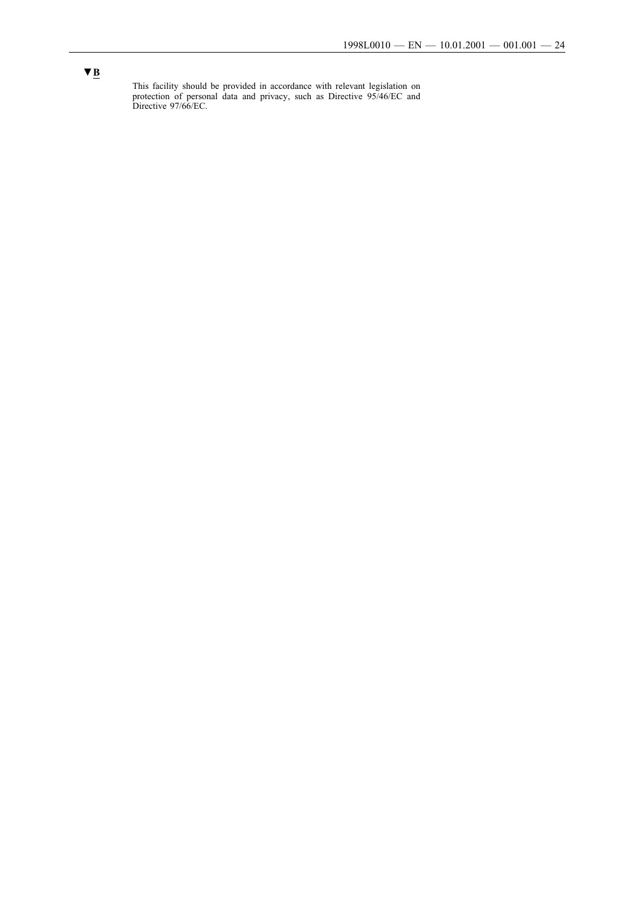This facility should be provided in accordance with relevant legislation on protection of personal data and privacy, such as Directive 95/46/EC and Directive 97/66/EC.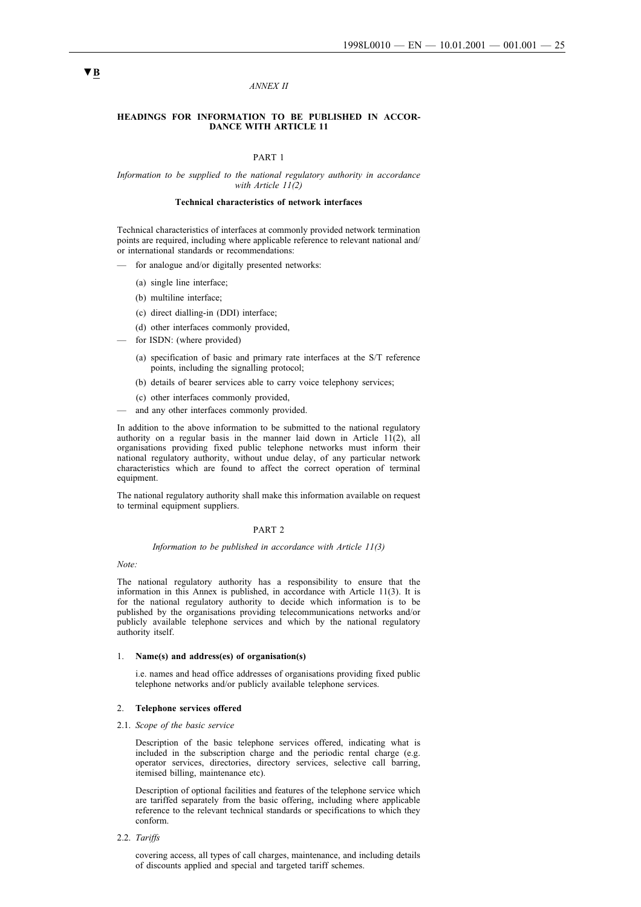#### *ANNEX II*

## **HEADINGS FOR INFORMATION TO BE PUBLISHED IN ACCOR-DANCE WITH ARTICLE 11**

#### PART 1

#### *Information to be supplied to the national regulatory authority in accordance with Article 11(2)*

#### **Technical characteristics of network interfaces**

Technical characteristics of interfaces at commonly provided network termination points are required, including where applicable reference to relevant national and/ or international standards or recommendations:

for analogue and/or digitally presented networks:

- (a) single line interface;
- (b) multiline interface;
- (c) direct dialling-in (DDI) interface;
- (d) other interfaces commonly provided,
- for ISDN: (where provided)
	- (a) specification of basic and primary rate interfaces at the S/T reference points, including the signalling protocol;
	- (b) details of bearer services able to carry voice telephony services;
	- (c) other interfaces commonly provided,
- and any other interfaces commonly provided.

In addition to the above information to be submitted to the national regulatory authority on a regular basis in the manner laid down in Article 11(2), all organisations providing fixed public telephone networks must inform their national regulatory authority, without undue delay, of any particular network characteristics which are found to affect the correct operation of terminal equipment.

The national regulatory authority shall make this information available on request to terminal equipment suppliers.

#### PART 2

#### *Information to be published in accordance with Article 11(3)*

*Note:*

The national regulatory authority has a responsibility to ensure that the information in this Annex is published, in accordance with Article 11(3). It is for the national regulatory authority to decide which information is to be published by the organisations providing telecommunications networks and/or publicly available telephone services and which by the national regulatory authority itself.

#### 1. **Name(s) and address(es) of organisation(s)**

i.e. names and head office addresses of organisations providing fixed public telephone networks and/or publicly available telephone services.

#### 2. **Telephone services offered**

#### 2.1. *Scope of the basic service*

Description of the basic telephone services offered, indicating what is included in the subscription charge and the periodic rental charge (e.g. operator services, directories, directory services, selective call barring, itemised billing, maintenance etc).

Description of optional facilities and features of the telephone service which are tariffed separately from the basic offering, including where applicable reference to the relevant technical standards or specifications to which they conform.

2.2. *Tariffs*

covering access, all types of call charges, maintenance, and including details of discounts applied and special and targeted tariff schemes.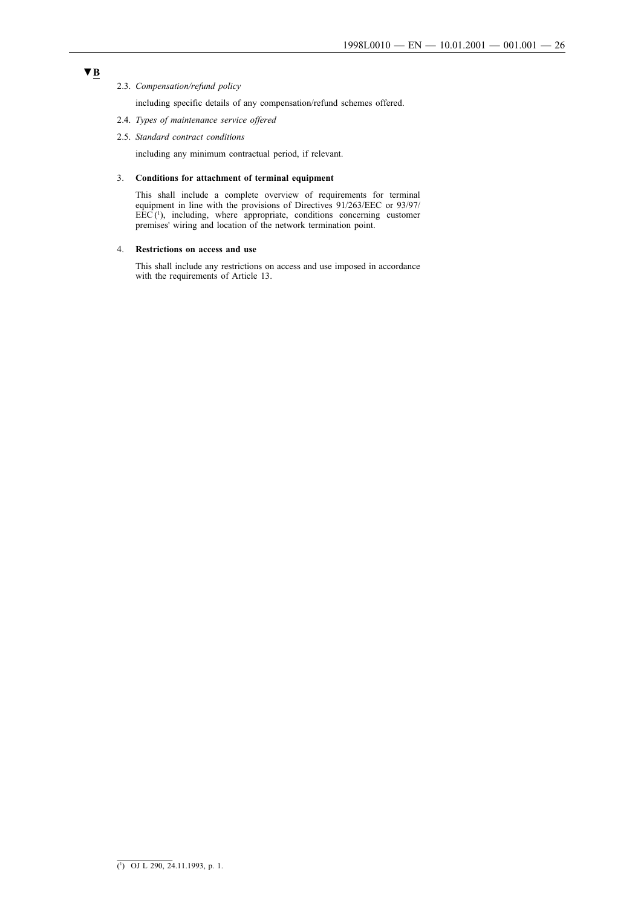## 2.3. *Compensation/refund policy*

including specific details of any compensation/refund schemes offered.

- 2.4. *Types of maintenance service offered*
- 2.5. *Standard contract conditions*

including any minimum contractual period, if relevant.

#### 3. **Conditions for attachment of terminal equipment**

This shall include a complete overview of requirements for terminal equipment in line with the provisions of Directives 91/263/EEC or 93/97/  $EEC<sup>(1)</sup>$ , including, where appropriate, conditions concerning customer premises' wiring and location of the network termination point.

#### 4. **Restrictions on access and use**

This shall include any restrictions on access and use imposed in accordance with the requirements of Article 13.

<sup>(1</sup> ) OJ L 290, 24.11.1993, p. 1.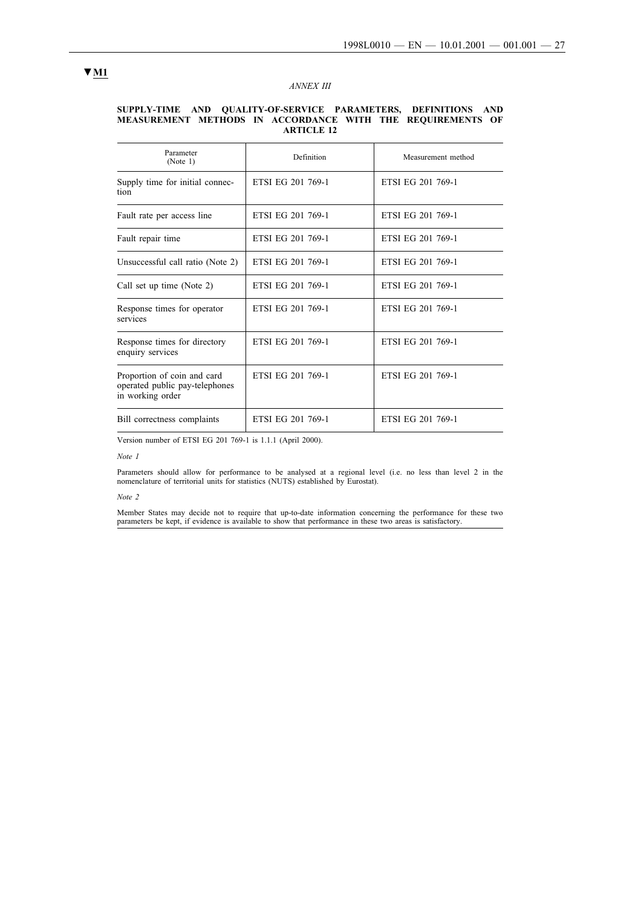## *ANNEX III*

#### **SUPPLY-TIME AND QUALITY-OF-SERVICE PARAMETERS, DEFINITIONS AND MEASUREMENT METHODS IN ACCORDANCE WITH THE REQUIREMENTS OF ARTICLE 12**

| Parameter<br>(Note 1)                                                             | Definition        | Measurement method |
|-----------------------------------------------------------------------------------|-------------------|--------------------|
| Supply time for initial connec-<br>tion                                           | ETSI EG 201 769-1 | ETSI EG 201 769-1  |
| Fault rate per access line                                                        | ETSI EG 201 769-1 | ETSI EG 201 769-1  |
| Fault repair time                                                                 | ETSI EG 201 769-1 | ETSI EG 201 769-1  |
| Unsuccessful call ratio (Note 2)                                                  | ETSI EG 201 769-1 | ETSI EG 201 769-1  |
| Call set up time (Note 2)                                                         | ETSI EG 201 769-1 | ETSI EG 201 769-1  |
| Response times for operator<br>services                                           | ETSI EG 201 769-1 | ETSI EG 201 769-1  |
| Response times for directory<br>enquiry services                                  | ETSI EG 201 769-1 | ETSI EG 201 769-1  |
| Proportion of coin and card<br>operated public pay-telephones<br>in working order | ETSI EG 201 769-1 | ETSI EG 201 769-1  |
| Bill correctness complaints                                                       | ETSI EG 201 769-1 | ETSI EG 201 769-1  |

Version number of ETSI EG 201 769-1 is 1.1.1 (April 2000).

#### *Note 1*

Parameters should allow for performance to be analysed at a regional level (i.e. no less than level 2 in the nomenclature of territorial units for statistics (NUTS) established by Eurostat).

#### *Note 2*

Member States may decide not to require that up-to-date information concerning the performance for these two parameters be kept, if evidence is available to show that performance in these two areas is satisfactory.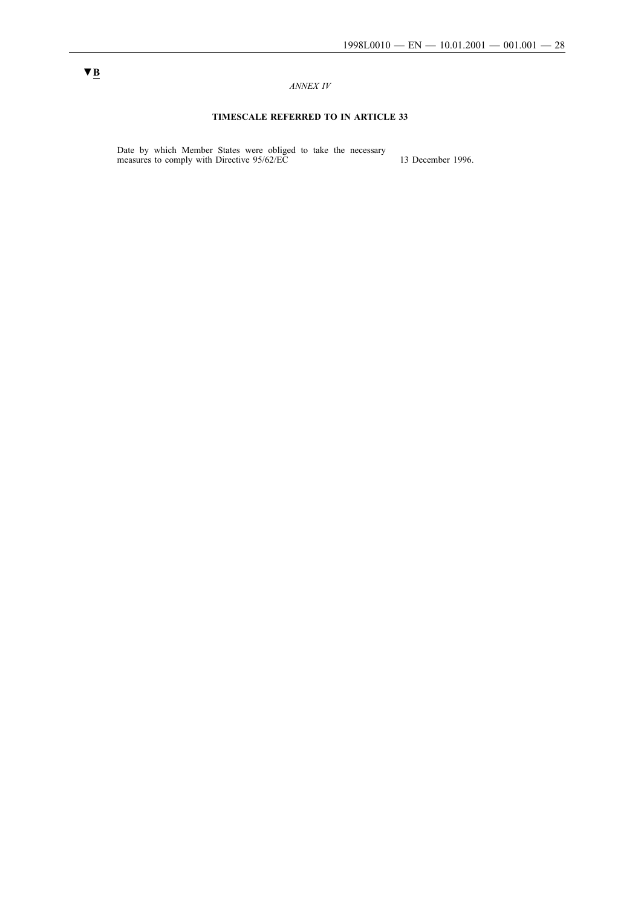## *ANNEX IV*

# **TIMESCALE REFERRED TO IN ARTICLE 33**

Date by which Member States were obliged to take the necessary measures to comply with Directive  $95/62/EC$  13 December 1996.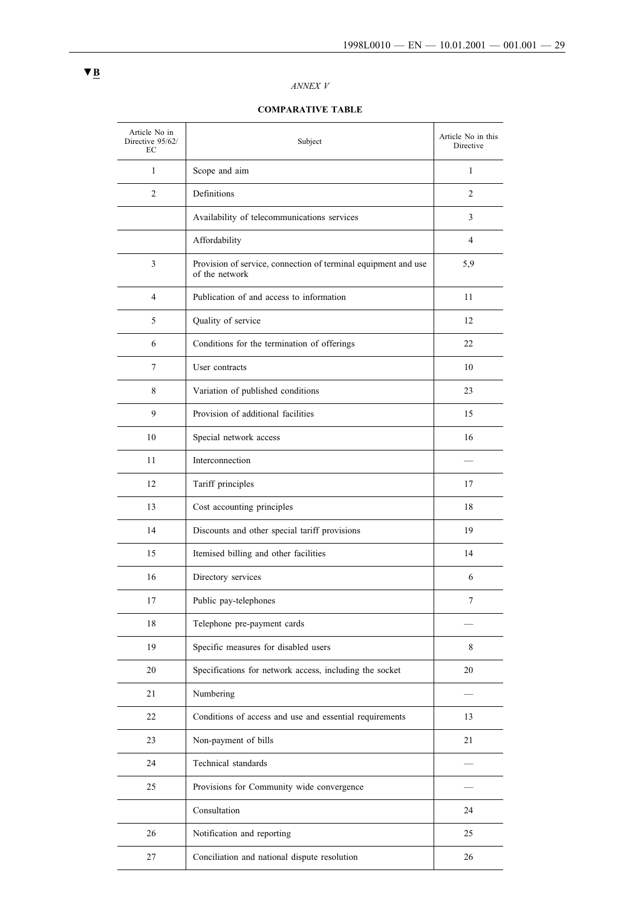## *ANNEX V*

# **COMPARATIVE TABLE**

| Article No in<br>Directive 95/62/<br>EC | Subject                                                                          | Article No in this<br>Directive |
|-----------------------------------------|----------------------------------------------------------------------------------|---------------------------------|
| 1                                       | Scope and aim                                                                    | $\mathbf{1}$                    |
| 2                                       | Definitions                                                                      | 2                               |
|                                         | Availability of telecommunications services                                      | 3                               |
|                                         | Affordability                                                                    | 4                               |
| 3                                       | Provision of service, connection of terminal equipment and use<br>of the network | 5,9                             |
| 4                                       | Publication of and access to information                                         | 11                              |
| 5                                       | Quality of service                                                               | 12                              |
| 6                                       | Conditions for the termination of offerings                                      | 22                              |
| 7                                       | User contracts                                                                   | 10                              |
| 8                                       | Variation of published conditions                                                | 23                              |
| 9                                       | Provision of additional facilities                                               | 15                              |
| 10                                      | Special network access                                                           | 16                              |
| 11                                      | Interconnection                                                                  |                                 |
| 12                                      | Tariff principles                                                                | 17                              |
| 13                                      | Cost accounting principles                                                       | 18                              |
| 14                                      | Discounts and other special tariff provisions                                    | 19                              |
| 15                                      | Itemised billing and other facilities                                            | 14                              |
| 16                                      | Directory services                                                               | 6                               |
| 17                                      | Public pay-telephones                                                            | 7                               |
| 18                                      | Telephone pre-payment cards                                                      |                                 |
| 19                                      | Specific measures for disabled users                                             | 8                               |
| 20                                      | Specifications for network access, including the socket                          | 20                              |
| 21                                      | Numbering                                                                        |                                 |
| 22                                      | Conditions of access and use and essential requirements                          | 13                              |
| 23                                      | Non-payment of bills                                                             | 21                              |
| 24                                      | Technical standards                                                              |                                 |
| 25                                      | Provisions for Community wide convergence                                        |                                 |
|                                         | Consultation                                                                     | 24                              |
| 26                                      | Notification and reporting                                                       | 25                              |
| 27                                      | Conciliation and national dispute resolution                                     | 26                              |